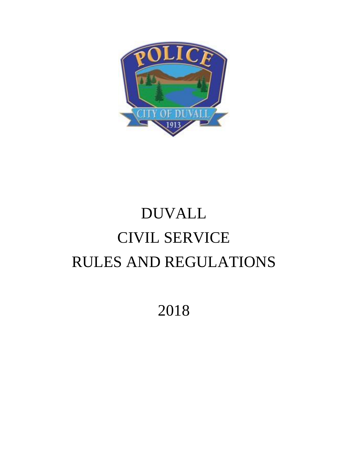

# DUVALL CIVIL SERVICE RULES AND REGULATIONS

2018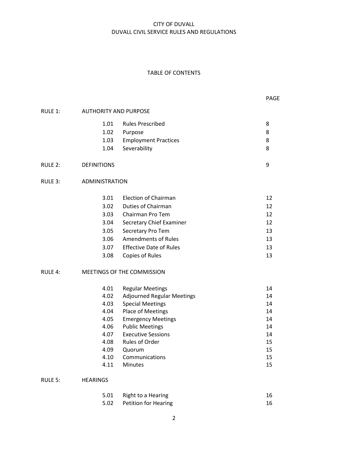#### TABLE OF CONTENTS

| RULE 1:    | <b>AUTHORITY AND PURPOSE</b> |                             |   |
|------------|------------------------------|-----------------------------|---|
|            | 1.01                         | <b>Rules Prescribed</b>     | 8 |
|            | 1.02                         | Purpose                     | 8 |
|            | 1.03                         | <b>Employment Practices</b> | 8 |
|            | 1.04                         | Severability                | 8 |
| RULE $2$ : | <b>DEFINITIONS</b>           |                             | 9 |
| RULE 3:    | <b>ADMINISTRATION</b>        |                             |   |
|            | 2 N1                         | Election of Chairman        | 1 |

| 3.01 | Election of Chairman           | 12 |
|------|--------------------------------|----|
| 3.02 | Duties of Chairman             | 12 |
| 3.03 | Chairman Pro Tem               | 12 |
| 3.04 | Secretary Chief Examiner       | 12 |
| 3.05 | Secretary Pro Tem              | 13 |
| 3.06 | <b>Amendments of Rules</b>     | 13 |
| 3.07 | <b>Effective Date of Rules</b> | 13 |
| 3.08 | Copies of Rules                | 13 |

## RULE 4: MEETINGS OF THE COMMISSION

| 4.01 | <b>Regular Meetings</b>           | 14 |
|------|-----------------------------------|----|
| 4.02 | <b>Adjourned Regular Meetings</b> | 14 |
| 4.03 | <b>Special Meetings</b>           | 14 |
| 4.04 | <b>Place of Meetings</b>          | 14 |
| 4.05 | <b>Emergency Meetings</b>         | 14 |
| 4.06 | <b>Public Meetings</b>            | 14 |
| 4.07 | <b>Executive Sessions</b>         | 14 |
| 4.08 | Rules of Order                    | 15 |
| 4.09 | Quorum                            | 15 |
| 4.10 | Communications                    | 15 |
| 4.11 | <b>Minutes</b>                    | 15 |

## RULE 5: HEARINGS

| 5.01 Right to a Hearing   | 16 |
|---------------------------|----|
| 5.02 Petition for Hearing | 16 |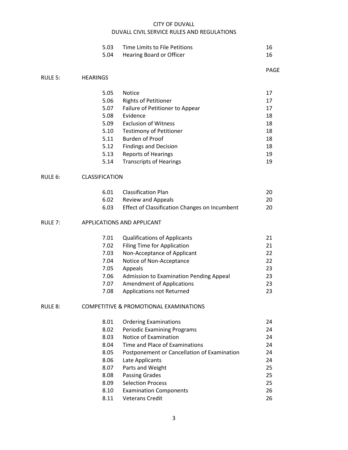| 5.03 Time Limits to File Petitions |  |
|------------------------------------|--|
| 5.04 Hearing Board or Officer      |  |

5.05 Notice 17

PAGE

## 5.06 Rights of Petitioner 17 5.07 Failure of Petitioner to Appear 17 5.08 Evidence 18 5.09 Exclusion of Witness 18 5.10 Testimony of Petitioner 18 5.11 Burden of Proof 18 5.12 Findings and Decision 18 5.13 Reports of Hearings 19 5.14 Transcripts of Hearings 19 RULE 6: CLASSIFICATION

RULE 5: HEARINGS

| 6.01 | <b>Classification Plan</b>                    | 20 |
|------|-----------------------------------------------|----|
| 6.02 | Review and Appeals                            | 20 |
| 6.03 | Effect of Classification Changes on Incumbent | 20 |

#### RULE 7: APPLICATIONS AND APPLICANT

| 7.01 | <b>Qualifications of Applicants</b>     | 21 |
|------|-----------------------------------------|----|
| 7.02 | Filing Time for Application             | 21 |
| 7.03 | Non-Acceptance of Applicant             | 22 |
| 7.04 | Notice of Non-Acceptance                | 22 |
| 7.05 | Appeals                                 | 23 |
| 7.06 | Admission to Examination Pending Appeal | 23 |
| 7.07 | <b>Amendment of Applications</b>        | 23 |
| 7.08 | Applications not Returned               | 23 |

#### RULE 8: COMPETITIVE & PROMOTIONAL EXAMINATIONS

| 8.01 | <b>Ordering Examinations</b>                | 24 |
|------|---------------------------------------------|----|
| 8.02 | <b>Periodic Examining Programs</b>          | 24 |
| 8.03 | Notice of Examination                       | 24 |
| 8.04 | Time and Place of Examinations              | 24 |
| 8.05 | Postponement or Cancellation of Examination | 24 |
| 8.06 | Late Applicants                             | 24 |
| 8.07 | Parts and Weight                            | 25 |
| 8.08 | <b>Passing Grades</b>                       | 25 |
| 8.09 | <b>Selection Process</b>                    | 25 |
| 8.10 | <b>Examination Components</b>               | 26 |
| 8.11 | <b>Veterans Credit</b>                      | 26 |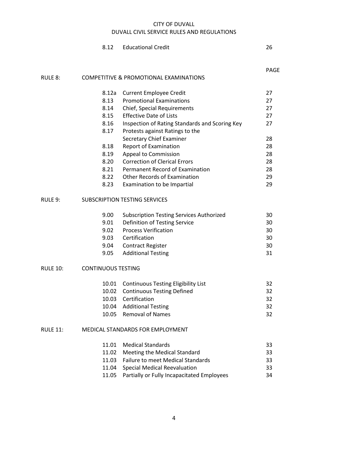|                 | 8.12                             | <b>Educational Credit</b>                         | 26          |
|-----------------|----------------------------------|---------------------------------------------------|-------------|
|                 |                                  |                                                   | <b>PAGE</b> |
| RULE 8:         |                                  | <b>COMPETITIVE &amp; PROMOTIONAL EXAMINATIONS</b> |             |
|                 | 8.12a                            | <b>Current Employee Credit</b>                    | 27          |
|                 | 8.13                             | <b>Promotional Examinations</b>                   | 27          |
|                 | 8.14                             | Chief, Special Requirements                       | 27          |
|                 | 8.15                             | <b>Effective Date of Lists</b>                    | 27          |
|                 | 8.16                             | Inspection of Rating Standards and Scoring Key    | 27          |
|                 | 8.17                             | Protests against Ratings to the                   |             |
|                 |                                  | <b>Secretary Chief Examiner</b>                   | 28          |
|                 | 8.18                             | <b>Report of Examination</b>                      | 28          |
|                 | 8.19                             | Appeal to Commission                              | 28          |
|                 | 8.20                             | <b>Correction of Clerical Errors</b>              | 28          |
|                 | 8.21                             | Permanent Record of Examination                   | 28          |
|                 | 8.22                             | <b>Other Records of Examination</b>               | 29          |
|                 | 8.23                             | Examination to be Impartial                       | 29          |
| RULE 9:         |                                  | <b>SUBSCRIPTION TESTING SERVICES</b>              |             |
|                 | 9.00                             | <b>Subscription Testing Services Authorized</b>   | 30          |
|                 | 9.01                             | Definition of Testing Service                     | 30          |
|                 | 9.02                             | <b>Process Verification</b>                       | 30          |
|                 | 9.03                             | Certification                                     | 30          |
|                 | 9.04                             | <b>Contract Register</b>                          | 30          |
|                 | 9.05                             | <b>Additional Testing</b>                         | 31          |
| <b>RULE 10:</b> | <b>CONTINUOUS TESTING</b>        |                                                   |             |
|                 | 10.01                            | <b>Continuous Testing Eligibility List</b>        | 32          |
|                 | 10.02                            | <b>Continuous Testing Defined</b>                 | 32          |
|                 | 10.03                            | Certification                                     | 32          |
|                 | 10.04                            | <b>Additional Testing</b>                         | 32          |
|                 | 10.05                            | <b>Removal of Names</b>                           | 32          |
| <b>RULE 11:</b> | MEDICAL STANDARDS FOR EMPLOYMENT |                                                   |             |
|                 | 11.01                            | <b>Medical Standards</b>                          | 33          |
|                 | 11.02                            | Meeting the Medical Standard                      | 33          |
|                 | 11.03                            | <b>Failure to meet Medical Standards</b>          | 33          |
|                 | 11.04                            | <b>Special Medical Reevaluation</b>               | 33          |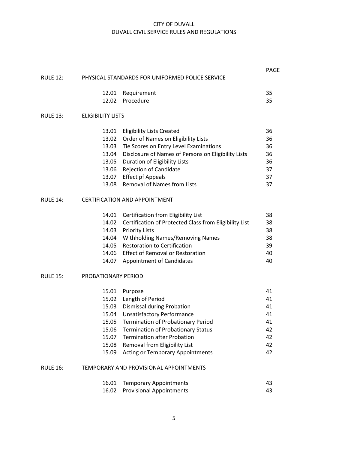|                 |                          |                                                              | PAGE |
|-----------------|--------------------------|--------------------------------------------------------------|------|
| <b>RULE 12:</b> |                          | PHYSICAL STANDARDS FOR UNIFORMED POLICE SERVICE              |      |
|                 |                          | 12.01 Requirement                                            | 35   |
|                 | 12.02                    | Procedure                                                    | 35   |
| <b>RULE 13:</b> | <b>ELIGIBILITY LISTS</b> |                                                              |      |
|                 |                          | 13.01 Eligibility Lists Created                              | 36   |
|                 | 13.02                    | Order of Names on Eligibility Lists                          | 36   |
|                 | 13.03                    | Tie Scores on Entry Level Examinations                       | 36   |
|                 | 13.04                    | Disclosure of Names of Persons on Eligibility Lists          | 36   |
|                 |                          | 13.05 Duration of Eligibility Lists                          | 36   |
|                 | 13.06                    | Rejection of Candidate                                       | 37   |
|                 |                          | 13.07 Effect pf Appeals                                      | 37   |
|                 | 13.08                    | <b>Removal of Names from Lists</b>                           | 37   |
| <b>RULE 14:</b> |                          | <b>CERTIFICATION AND APPOINTMENT</b>                         |      |
|                 |                          | 14.01 Certification from Eligibility List                    | 38   |
|                 |                          | 14.02 Certification of Protected Class from Eligibility List | 38   |
|                 |                          | 14.03 Priority Lists                                         | 38   |
|                 | 14.04                    | <b>Withholding Names/Removing Names</b>                      | 38   |
|                 | 14.05                    | <b>Restoration to Certification</b>                          | 39   |
|                 | 14.06                    | <b>Effect of Removal or Restoration</b>                      | 40   |
|                 | 14.07                    | <b>Appointment of Candidates</b>                             | 40   |
| <b>RULE 15:</b> | PROBATIONARY PERIOD      |                                                              |      |
|                 |                          | 15.01 Purpose                                                | 41   |
|                 |                          | 15.02 Length of Period                                       | 41   |
|                 |                          | 15.03 Dismissal during Probation                             | 41   |
|                 |                          | 15.04 Unsatisfactory Performance                             | 41   |
|                 |                          | 15.05 Termination of Probationary Period                     | 41   |
|                 | 15.06                    | <b>Termination of Probationary Status</b>                    | 42   |
|                 | 15.07                    | <b>Termination after Probation</b>                           | 42   |
|                 | 15.08                    | Removal from Eligibility List                                | 42   |
|                 | 15.09                    | <b>Acting or Temporary Appointments</b>                      | 42   |
| <b>RULE 16:</b> |                          | TEMPORARY AND PROVISIONAL APPOINTMENTS                       |      |
|                 | 16.01                    | <b>Temporary Appointments</b>                                | 43   |
|                 | 16.02                    | <b>Provisional Appointments</b>                              | 43   |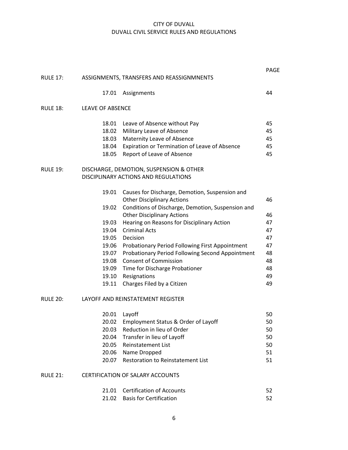|                 |                         |                                                                                 | <b>PAGE</b> |
|-----------------|-------------------------|---------------------------------------------------------------------------------|-------------|
| <b>RULE 17:</b> |                         | ASSIGNMENTS, TRANSFERS AND REASSIGNMNENTS                                       |             |
|                 | 17.01                   | Assignments                                                                     | 44          |
| <b>RULE 18:</b> | <b>LEAVE OF ABSENCE</b> |                                                                                 |             |
|                 |                         | 18.01 Leave of Absence without Pay                                              | 45          |
|                 | 18.02                   | Military Leave of Absence                                                       | 45          |
|                 | 18.03                   | Maternity Leave of Absence                                                      | 45          |
|                 | 18.04                   | Expiration or Termination of Leave of Absence                                   | 45          |
|                 | 18.05                   | Report of Leave of Absence                                                      | 45          |
| <b>RULE 19:</b> |                         | DISCHARGE, DEMOTION, SUSPENSION & OTHER<br>DISCIPLINARY ACTIONS AND REGULATIONS |             |
|                 | 19.01                   | Causes for Discharge, Demotion, Suspension and                                  |             |
|                 |                         | <b>Other Disciplinary Actions</b>                                               | 46          |
|                 | 19.02                   | Conditions of Discharge, Demotion, Suspension and                               |             |
|                 |                         | <b>Other Disciplinary Actions</b>                                               | 46          |
|                 | 19.03                   | Hearing on Reasons for Disciplinary Action                                      | 47          |
|                 | 19.04                   | <b>Criminal Acts</b>                                                            | 47          |
|                 | 19.05                   | Decision                                                                        | 47          |
|                 |                         | 19.06 Probationary Period Following First Appointment                           | 47          |
|                 | 19.07                   | Probationary Period Following Second Appointment                                | 48          |
|                 | 19.08                   | <b>Consent of Commission</b>                                                    | 48          |
|                 |                         | 19.09 Time for Discharge Probationer                                            | 48          |
|                 |                         | 19.10 Resignations                                                              | 49          |
|                 | 19.11                   | Charges Filed by a Citizen                                                      | 49          |
| <b>RULE 20:</b> |                         | LAYOFF AND REINSTATEMENT REGISTER                                               |             |
|                 | 20.01                   | Layoff                                                                          | 50          |
|                 | 20.02                   | Employment Status & Order of Layoff                                             | 50          |
|                 | 20.03                   | Reduction in lieu of Order                                                      | 50          |
|                 | 20.04                   | Transfer in lieu of Layoff                                                      | 50          |
|                 | 20.05                   | <b>Reinstatement List</b>                                                       | 50          |
|                 | 20.06                   | Name Dropped                                                                    | 51          |
|                 | 20.07                   | <b>Restoration to Reinstatement List</b>                                        | 51          |
| <b>RULE 21:</b> |                         | <b>CERTIFICATION OF SALARY ACCOUNTS</b>                                         |             |
|                 | 21.01                   | <b>Certification of Accounts</b>                                                | 52          |
|                 | 21.02                   | <b>Basis for Certification</b>                                                  | 52          |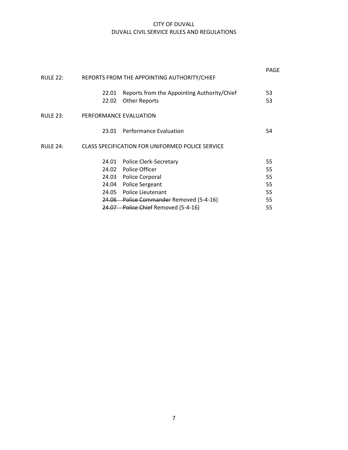| <b>RULE 22:</b> |                                                  | REPORTS FROM THE APPOINTING AUTHORITY/CHIEF                         | PAGF     |
|-----------------|--------------------------------------------------|---------------------------------------------------------------------|----------|
|                 | 22.01<br>22.02                                   | Reports from the Appointing Authority/Chief<br><b>Other Reports</b> | 53<br>53 |
| <b>RULE 23:</b> | PERFORMANCE EVALUATION                           |                                                                     |          |
|                 | 23.01                                            | <b>Performance Evaluation</b>                                       | 54       |
| <b>RULE 24:</b> | CLASS SPECIFICATION FOR UNIFORMED POLICE SERVICE |                                                                     |          |
|                 |                                                  | 24.01 Police Clerk-Secretary                                        | 55       |
|                 |                                                  | 24.02 Police Officer                                                | 55       |
|                 |                                                  | 24.03 Police Corporal                                               | 55       |
|                 |                                                  | 24.04 Police Sergeant                                               | 55       |
|                 |                                                  | 24.05 Police Lieutenant                                             | 55       |
|                 |                                                  | 24.06 Police Commander Removed (5-4-16)                             | 55       |
|                 | 24.07                                            | Police Chief Removed (5-4-16)                                       | 55       |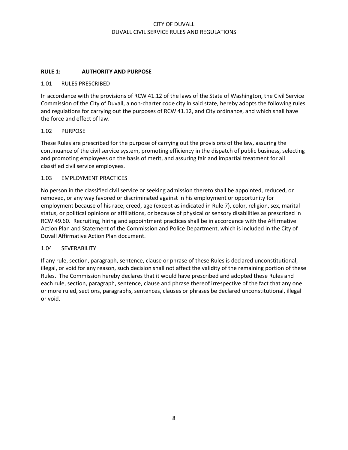## **RULE 1: AUTHORITY AND PURPOSE**

#### 1.01 RULES PRESCRIBED

In accordance with the provisions of RCW 41.12 of the laws of the State of Washington, the Civil Service Commission of the City of Duvall, a non-charter code city in said state, hereby adopts the following rules and regulations for carrying out the purposes of RCW 41.12, and City ordinance, and which shall have the force and effect of law.

#### 1.02 PURPOSE

These Rules are prescribed for the purpose of carrying out the provisions of the law, assuring the continuance of the civil service system, promoting efficiency in the dispatch of public business, selecting and promoting employees on the basis of merit, and assuring fair and impartial treatment for all classified civil service employees.

#### 1.03 EMPLOYMENT PRACTICES

No person in the classified civil service or seeking admission thereto shall be appointed, reduced, or removed, or any way favored or discriminated against in his employment or opportunity for employment because of his race, creed, age (except as indicated in Rule 7), color, religion, sex, marital status, or political opinions or affiliations, or because of physical or sensory disabilities as prescribed in RCW 49.60. Recruiting, hiring and appointment practices shall be in accordance with the Affirmative Action Plan and Statement of the Commission and Police Department, which is included in the City of Duvall Affirmative Action Plan document.

#### 1.04 SEVERABILITY

If any rule, section, paragraph, sentence, clause or phrase of these Rules is declared unconstitutional, illegal, or void for any reason, such decision shall not affect the validity of the remaining portion of these Rules. The Commission hereby declares that it would have prescribed and adopted these Rules and each rule, section, paragraph, sentence, clause and phrase thereof irrespective of the fact that any one or more ruled, sections, paragraphs, sentences, clauses or phrases be declared unconstitutional, illegal or void.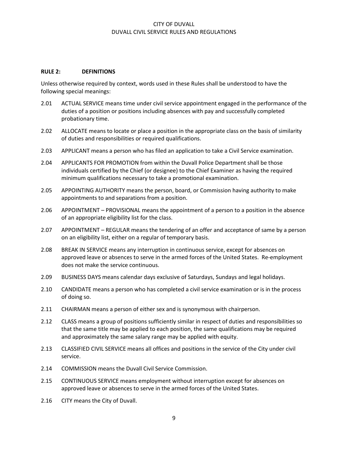#### **RULE 2: DEFINITIONS**

Unless otherwise required by context, words used in these Rules shall be understood to have the following special meanings:

- 2.01 ACTUAL SERVICE means time under civil service appointment engaged in the performance of the duties of a position or positions including absences with pay and successfully completed probationary time.
- 2.02 ALLOCATE means to locate or place a position in the appropriate class on the basis of similarity of duties and responsibilities or required qualifications.
- 2.03 APPLICANT means a person who has filed an application to take a Civil Service examination.
- 2.04 APPLICANTS FOR PROMOTION from within the Duvall Police Department shall be those individuals certified by the Chief (or designee) to the Chief Examiner as having the required minimum qualifications necessary to take a promotional examination.
- 2.05 APPOINTING AUTHORITY means the person, board, or Commission having authority to make appointments to and separations from a position.
- 2.06 APPOINTMENT PROVISIONAL means the appointment of a person to a position in the absence of an appropriate eligibility list for the class.
- 2.07 APPOINTMENT REGULAR means the tendering of an offer and acceptance of same by a person on an eligibility list, either on a regular of temporary basis.
- 2.08 BREAK IN SERVICE means any interruption in continuous service, except for absences on approved leave or absences to serve in the armed forces of the United States. Re-employment does not make the service continuous.
- 2.09 BUSINESS DAYS means calendar days exclusive of Saturdays, Sundays and legal holidays.
- 2.10 CANDIDATE means a person who has completed a civil service examination or is in the process of doing so.
- 2.11 CHAIRMAN means a person of either sex and is synonymous with chairperson.
- 2.12 CLASS means a group of positions sufficiently similar in respect of duties and responsibilities so that the same title may be applied to each position, the same qualifications may be required and approximately the same salary range may be applied with equity.
- 2.13 CLASSIFIED CIVIL SERVICE means all offices and positions in the service of the City under civil service.
- 2.14 COMMISSION means the Duvall Civil Service Commission.
- 2.15 CONTINUOUS SERVICE means employment without interruption except for absences on approved leave or absences to serve in the armed forces of the United States.
- 2.16 CITY means the City of Duvall.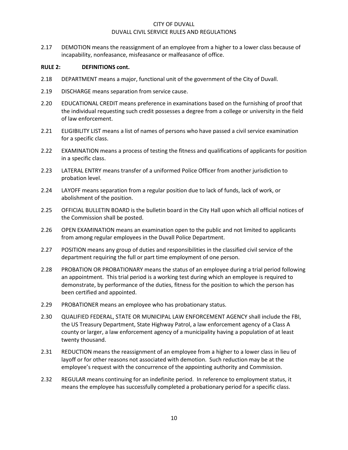2.17 DEMOTION means the reassignment of an employee from a higher to a lower class because of incapability, nonfeasance, misfeasance or malfeasance of office.

#### **RULE 2: DEFINITIONS cont.**

- 2.18 DEPARTMENT means a major, functional unit of the government of the City of Duvall.
- 2.19 DISCHARGE means separation from service cause.
- 2.20 EDUCATIONAL CREDIT means preference in examinations based on the furnishing of proof that the individual requesting such credit possesses a degree from a college or university in the field of law enforcement.
- 2.21 ELIGIBILITY LIST means a list of names of persons who have passed a civil service examination for a specific class.
- 2.22 EXAMINATION means a process of testing the fitness and qualifications of applicants for position in a specific class.
- 2.23 LATERAL ENTRY means transfer of a uniformed Police Officer from another jurisdiction to probation level.
- 2.24 LAYOFF means separation from a regular position due to lack of funds, lack of work, or abolishment of the position.
- 2.25 OFFICIAL BULLETIN BOARD is the bulletin board in the City Hall upon which all official notices of the Commission shall be posted.
- 2.26 OPEN EXAMINATION means an examination open to the public and not limited to applicants from among regular employees in the Duvall Police Department.
- 2.27 POSITION means any group of duties and responsibilities in the classified civil service of the department requiring the full or part time employment of one person.
- 2.28 PROBATION OR PROBATIONARY means the status of an employee during a trial period following an appointment. This trial period is a working test during which an employee is required to demonstrate, by performance of the duties, fitness for the position to which the person has been certified and appointed.
- 2.29 PROBATIONER means an employee who has probationary status.
- 2.30 QUALIFIED FEDERAL, STATE OR MUNICIPAL LAW ENFORCEMENT AGENCY shall include the FBI, the US Treasury Department, State Highway Patrol, a law enforcement agency of a Class A county or larger, a law enforcement agency of a municipality having a population of at least twenty thousand.
- 2.31 REDUCTION means the reassignment of an employee from a higher to a lower class in lieu of layoff or for other reasons not associated with demotion. Such reduction may be at the employee's request with the concurrence of the appointing authority and Commission.
- 2.32 REGULAR means continuing for an indefinite period. In reference to employment status, it means the employee has successfully completed a probationary period for a specific class.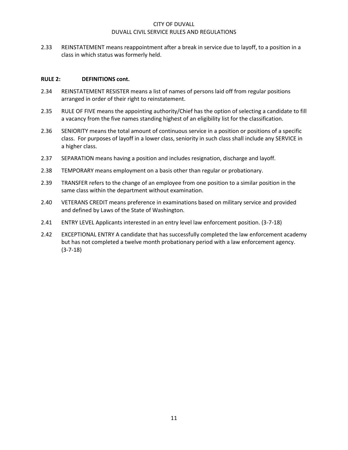2.33 REINSTATEMENT means reappointment after a break in service due to layoff, to a position in a class in which status was formerly held.

#### **RULE 2: DEFINITIONS cont.**

- 2.34 REINSTATEMENT RESISTER means a list of names of persons laid off from regular positions arranged in order of their right to reinstatement.
- 2.35 RULE OF FIVE means the appointing authority/Chief has the option of selecting a candidate to fill a vacancy from the five names standing highest of an eligibility list for the classification.
- 2.36 SENIORITY means the total amount of continuous service in a position or positions of a specific class. For purposes of layoff in a lower class, seniority in such class shall include any SERVICE in a higher class.
- 2.37 SEPARATION means having a position and includes resignation, discharge and layoff.
- 2.38 TEMPORARY means employment on a basis other than regular or probationary.
- 2.39 TRANSFER refers to the change of an employee from one position to a similar position in the same class within the department without examination.
- 2.40 VETERANS CREDIT means preference in examinations based on military service and provided and defined by Laws of the State of Washington.
- 2.41 ENTRY LEVEL Applicants interested in an entry level law enforcement position. (3-7-18)
- 2.42 EXCEPTIONAL ENTRY A candidate that has successfully completed the law enforcement academy but has not completed a twelve month probationary period with a law enforcement agency. (3-7-18)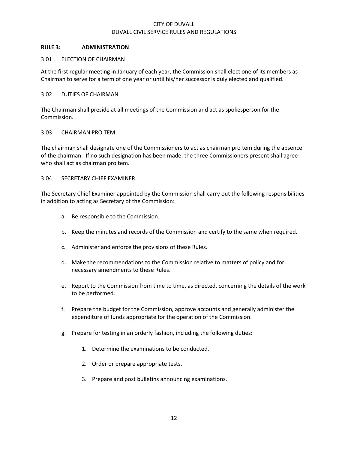#### **RULE 3: ADMINISTRATION**

#### 3.01 ELECTION OF CHAIRMAN

At the first regular meeting in January of each year, the Commission shall elect one of its members as Chairman to serve for a term of one year or until his/her successor is duly elected and qualified.

#### 3.02 DUTIES OF CHAIRMAN

The Chairman shall preside at all meetings of the Commission and act as spokesperson for the Commission.

#### 3.03 CHAIRMAN PRO TEM

The chairman shall designate one of the Commissioners to act as chairman pro tem during the absence of the chairman. If no such designation has been made, the three Commissioners present shall agree who shall act as chairman pro tem.

#### 3.04 SECRETARY CHIEF EXAMINER

The Secretary Chief Examiner appointed by the Commission shall carry out the following responsibilities in addition to acting as Secretary of the Commission:

- a. Be responsible to the Commission.
- b. Keep the minutes and records of the Commission and certify to the same when required.
- c. Administer and enforce the provisions of these Rules.
- d. Make the recommendations to the Commission relative to matters of policy and for necessary amendments to these Rules.
- e. Report to the Commission from time to time, as directed, concerning the details of the work to be performed.
- f. Prepare the budget for the Commission, approve accounts and generally administer the expenditure of funds appropriate for the operation of the Commission.
- g. Prepare for testing in an orderly fashion, including the following duties:
	- 1. Determine the examinations to be conducted.
	- 2. Order or prepare appropriate tests.
	- 3. Prepare and post bulletins announcing examinations.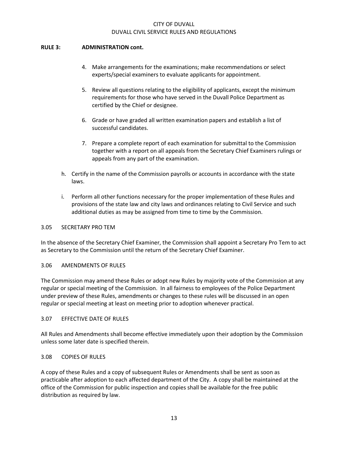#### **RULE 3: ADMINISTRATION cont.**

- 4. Make arrangements for the examinations; make recommendations or select experts/special examiners to evaluate applicants for appointment.
- 5. Review all questions relating to the eligibility of applicants, except the minimum requirements for those who have served in the Duvall Police Department as certified by the Chief or designee.
- 6. Grade or have graded all written examination papers and establish a list of successful candidates.
- 7. Prepare a complete report of each examination for submittal to the Commission together with a report on all appeals from the Secretary Chief Examiners rulings or appeals from any part of the examination.
- h. Certify in the name of the Commission payrolls or accounts in accordance with the state laws.
- i. Perform all other functions necessary for the proper implementation of these Rules and provisions of the state law and city laws and ordinances relating to Civil Service and such additional duties as may be assigned from time to time by the Commission.

#### 3.05 SECRETARY PRO TEM

In the absence of the Secretary Chief Examiner, the Commission shall appoint a Secretary Pro Tem to act as Secretary to the Commission until the return of the Secretary Chief Examiner.

#### 3.06 AMENDMENTS OF RULES

The Commission may amend these Rules or adopt new Rules by majority vote of the Commission at any regular or special meeting of the Commission. In all fairness to employees of the Police Department under preview of these Rules, amendments or changes to these rules will be discussed in an open regular or special meeting at least on meeting prior to adoption whenever practical.

#### 3.07 EFFECTIVE DATE OF RULES

All Rules and Amendments shall become effective immediately upon their adoption by the Commission unless some later date is specified therein.

#### 3.08 COPIES OF RULES

A copy of these Rules and a copy of subsequent Rules or Amendments shall be sent as soon as practicable after adoption to each affected department of the City. A copy shall be maintained at the office of the Commission for public inspection and copies shall be available for the free public distribution as required by law.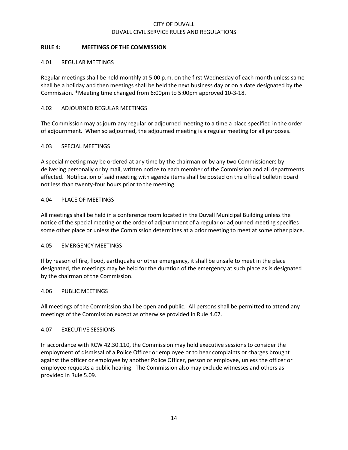## **RULE 4: MEETINGS OF THE COMMISSION**

#### 4.01 REGULAR MEETINGS

Regular meetings shall be held monthly at 5:00 p.m. on the first Wednesday of each month unless same shall be a holiday and then meetings shall be held the next business day or on a date designated by the Commission. \*Meeting time changed from 6:00pm to 5:00pm approved 10-3-18.

#### 4.02 ADJOURNED REGULAR MEETINGS

The Commission may adjourn any regular or adjourned meeting to a time a place specified in the order of adjournment. When so adjourned, the adjourned meeting is a regular meeting for all purposes.

#### 4.03 SPECIAL MEETINGS

A special meeting may be ordered at any time by the chairman or by any two Commissioners by delivering personally or by mail, written notice to each member of the Commission and all departments affected. Notification of said meeting with agenda items shall be posted on the official bulletin board not less than twenty-four hours prior to the meeting.

## 4.04 PLACE OF MEETINGS

All meetings shall be held in a conference room located in the Duvall Municipal Building unless the notice of the special meeting or the order of adjournment of a regular or adjourned meeting specifies some other place or unless the Commission determines at a prior meeting to meet at some other place.

#### 4.05 EMERGENCY MEETINGS

If by reason of fire, flood, earthquake or other emergency, it shall be unsafe to meet in the place designated, the meetings may be held for the duration of the emergency at such place as is designated by the chairman of the Commission.

#### 4.06 PUBLIC MEETINGS

All meetings of the Commission shall be open and public. All persons shall be permitted to attend any meetings of the Commission except as otherwise provided in Rule 4.07.

#### 4.07 EXECUTIVE SESSIONS

In accordance with RCW 42.30.110, the Commission may hold executive sessions to consider the employment of dismissal of a Police Officer or employee or to hear complaints or charges brought against the officer or employee by another Police Officer, person or employee, unless the officer or employee requests a public hearing. The Commission also may exclude witnesses and others as provided in Rule 5.09.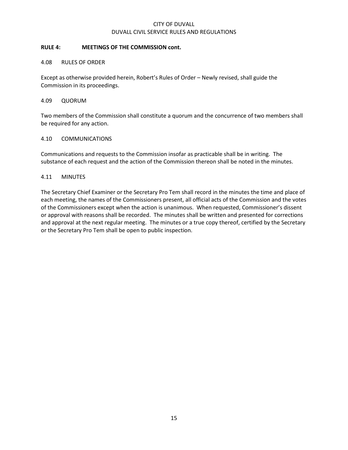#### **RULE 4: MEETINGS OF THE COMMISSION cont.**

#### 4.08 RULES OF ORDER

Except as otherwise provided herein, Robert's Rules of Order – Newly revised, shall guide the Commission in its proceedings.

#### 4.09 QUORUM

Two members of the Commission shall constitute a quorum and the concurrence of two members shall be required for any action.

## 4.10 COMMUNICATIONS

Communications and requests to the Commission insofar as practicable shall be in writing. The substance of each request and the action of the Commission thereon shall be noted in the minutes.

#### 4.11 MINUTES

The Secretary Chief Examiner or the Secretary Pro Tem shall record in the minutes the time and place of each meeting, the names of the Commissioners present, all official acts of the Commission and the votes of the Commissioners except when the action is unanimous. When requested, Commissioner's dissent or approval with reasons shall be recorded. The minutes shall be written and presented for corrections and approval at the next regular meeting. The minutes or a true copy thereof, certified by the Secretary or the Secretary Pro Tem shall be open to public inspection.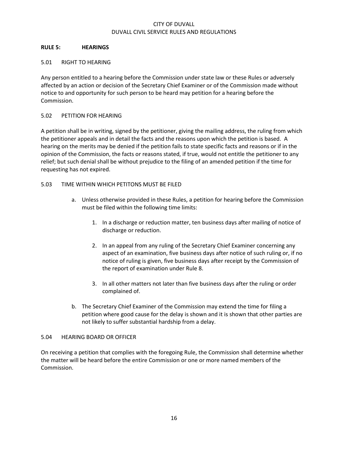## **RULE 5: HEARINGS**

## 5.01 RIGHT TO HEARING

Any person entitled to a hearing before the Commission under state law or these Rules or adversely affected by an action or decision of the Secretary Chief Examiner or of the Commission made without notice to and opportunity for such person to be heard may petition for a hearing before the Commission.

## 5.02 PETITION FOR HEARING

A petition shall be in writing, signed by the petitioner, giving the mailing address, the ruling from which the petitioner appeals and in detail the facts and the reasons upon which the petition is based. A hearing on the merits may be denied if the petition fails to state specific facts and reasons or if in the opinion of the Commission, the facts or reasons stated, if true, would not entitle the petitioner to any relief; but such denial shall be without prejudice to the filing of an amended petition if the time for requesting has not expired.

## 5.03 TIME WITHIN WHICH PETITONS MUST BE FILED

- a. Unless otherwise provided in these Rules, a petition for hearing before the Commission must be filed within the following time limits:
	- 1. In a discharge or reduction matter, ten business days after mailing of notice of discharge or reduction.
	- 2. In an appeal from any ruling of the Secretary Chief Examiner concerning any aspect of an examination, five business days after notice of such ruling or, if no notice of ruling is given, five business days after receipt by the Commission of the report of examination under Rule 8.
	- 3. In all other matters not later than five business days after the ruling or order complained of.
- b. The Secretary Chief Examiner of the Commission may extend the time for filing a petition where good cause for the delay is shown and it is shown that other parties are not likely to suffer substantial hardship from a delay.

## 5.04 HEARING BOARD OR OFFICER

On receiving a petition that complies with the foregoing Rule, the Commission shall determine whether the matter will be heard before the entire Commission or one or more named members of the Commission.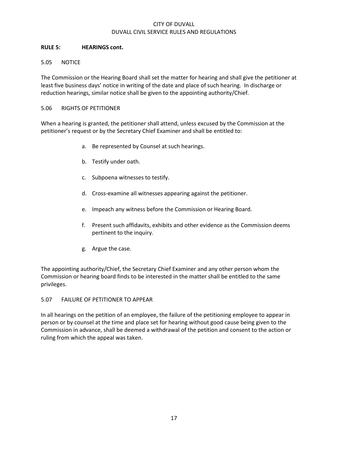## **RULE 5: HEARINGS cont.**

## 5.05 NOTICE

The Commission or the Hearing Board shall set the matter for hearing and shall give the petitioner at least five business days' notice in writing of the date and place of such hearing. In discharge or reduction hearings, similar notice shall be given to the appointing authority/Chief.

## 5.06 RIGHTS OF PETITIONER

When a hearing is granted, the petitioner shall attend, unless excused by the Commission at the petitioner's request or by the Secretary Chief Examiner and shall be entitled to:

- a. Be represented by Counsel at such hearings.
- b. Testify under oath.
- c. Subpoena witnesses to testify.
- d. Cross-examine all witnesses appearing against the petitioner.
- e. Impeach any witness before the Commission or Hearing Board.
- f. Present such affidavits, exhibits and other evidence as the Commission deems pertinent to the inquiry.
- g. Argue the case.

The appointing authority/Chief, the Secretary Chief Examiner and any other person whom the Commission or hearing board finds to be interested in the matter shall be entitled to the same privileges.

#### 5.07 FAILURE OF PETITIONER TO APPEAR

In all hearings on the petition of an employee, the failure of the petitioning employee to appear in person or by counsel at the time and place set for hearing without good cause being given to the Commission in advance, shall be deemed a withdrawal of the petition and consent to the action or ruling from which the appeal was taken.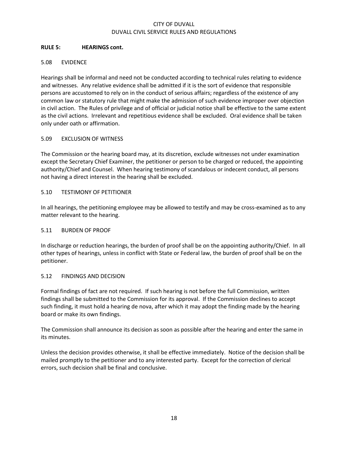#### **RULE 5: HEARINGS cont.**

## 5.08 EVIDENCE

Hearings shall be informal and need not be conducted according to technical rules relating to evidence and witnesses. Any relative evidence shall be admitted if it is the sort of evidence that responsible persons are accustomed to rely on in the conduct of serious affairs; regardless of the existence of any common law or statutory rule that might make the admission of such evidence improper over objection in civil action. The Rules of privilege and of official or judicial notice shall be effective to the same extent as the civil actions. Irrelevant and repetitious evidence shall be excluded. Oral evidence shall be taken only under oath or affirmation.

## 5.09 EXCLUSION OF WITNESS

The Commission or the hearing board may, at its discretion, exclude witnesses not under examination except the Secretary Chief Examiner, the petitioner or person to be charged or reduced, the appointing authority/Chief and Counsel. When hearing testimony of scandalous or indecent conduct, all persons not having a direct interest in the hearing shall be excluded.

## 5.10 TESTIMONY OF PETITIONER

In all hearings, the petitioning employee may be allowed to testify and may be cross-examined as to any matter relevant to the hearing.

#### 5.11 BURDEN OF PROOF

In discharge or reduction hearings, the burden of proof shall be on the appointing authority/Chief. In all other types of hearings, unless in conflict with State or Federal law, the burden of proof shall be on the petitioner.

## 5.12 FINDINGS AND DECISION

Formal findings of fact are not required. If such hearing is not before the full Commission, written findings shall be submitted to the Commission for its approval. If the Commission declines to accept such finding, it must hold a hearing de nova, after which it may adopt the finding made by the hearing board or make its own findings.

The Commission shall announce its decision as soon as possible after the hearing and enter the same in its minutes.

Unless the decision provides otherwise, it shall be effective immediately. Notice of the decision shall be mailed promptly to the petitioner and to any interested party. Except for the correction of clerical errors, such decision shall be final and conclusive.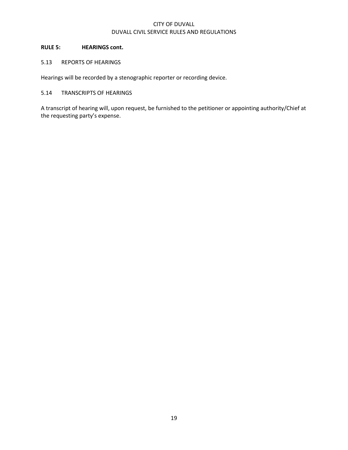## **RULE 5: HEARINGS cont.**

## 5.13 REPORTS OF HEARINGS

Hearings will be recorded by a stenographic reporter or recording device.

## 5.14 TRANSCRIPTS OF HEARINGS

A transcript of hearing will, upon request, be furnished to the petitioner or appointing authority/Chief at the requesting party's expense.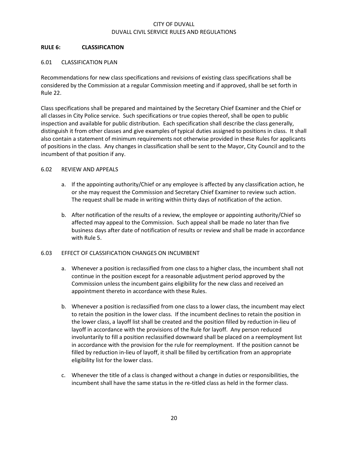## **RULE 6: CLASSIFICATION**

#### 6.01 CLASSIFICATION PLAN

Recommendations for new class specifications and revisions of existing class specifications shall be considered by the Commission at a regular Commission meeting and if approved, shall be set forth in Rule 22.

Class specifications shall be prepared and maintained by the Secretary Chief Examiner and the Chief or all classes in City Police service. Such specifications or true copies thereof, shall be open to public inspection and available for public distribution. Each specification shall describe the class generally, distinguish it from other classes and give examples of typical duties assigned to positions in class. It shall also contain a statement of minimum requirements not otherwise provided in these Rules for applicants of positions in the class. Any changes in classification shall be sent to the Mayor, City Council and to the incumbent of that position if any.

#### 6.02 REVIEW AND APPEALS

- a. If the appointing authority/Chief or any employee is affected by any classification action, he or she may request the Commission and Secretary Chief Examiner to review such action. The request shall be made in writing within thirty days of notification of the action.
- b. After notification of the results of a review, the employee or appointing authority/Chief so affected may appeal to the Commission. Such appeal shall be made no later than five business days after date of notification of results or review and shall be made in accordance with Rule 5.

#### 6.03 EFFECT OF CLASSIFICATION CHANGES ON INCUMBENT

- a. Whenever a position is reclassified from one class to a higher class, the incumbent shall not continue in the position except for a reasonable adjustment period approved by the Commission unless the incumbent gains eligibility for the new class and received an appointment thereto in accordance with these Rules.
- b. Whenever a position is reclassified from one class to a lower class, the incumbent may elect to retain the position in the lower class. If the incumbent declines to retain the position in the lower class, a layoff list shall be created and the position filled by reduction in-lieu of layoff in accordance with the provisions of the Rule for layoff. Any person reduced involuntarily to fill a position reclassified downward shall be placed on a reemployment list in accordance with the provision for the rule for reemployment. If the position cannot be filled by reduction in-lieu of layoff, it shall be filled by certification from an appropriate eligibility list for the lower class.
- c. Whenever the title of a class is changed without a change in duties or responsibilities, the incumbent shall have the same status in the re-titled class as held in the former class.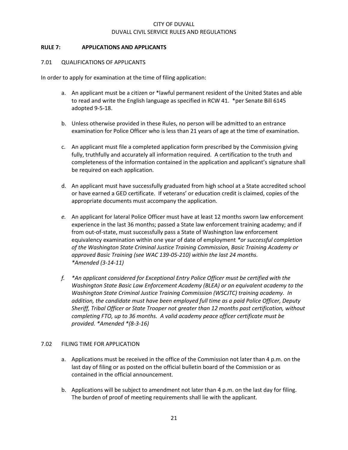#### **RULE 7: APPLICATIONS AND APPLICANTS**

#### 7.01 QUALIFICATIONS OF APPLICANTS

In order to apply for examination at the time of filing application:

- a. An applicant must be a citizen or \*lawful permanent resident of the United States and able to read and write the English language as specified in RCW 41. \*per Senate Bill 6145 adopted 9-5-18.
- b. Unless otherwise provided in these Rules, no person will be admitted to an entrance examination for Police Officer who is less than 21 years of age at the time of examination.
- c. An applicant must file a completed application form prescribed by the Commission giving fully, truthfully and accurately all information required. A certification to the truth and completeness of the information contained in the application and applicant's signature shall be required on each application.
- d. An applicant must have successfully graduated from high school at a State accredited school or have earned a GED certificate. If veterans' or education credit is claimed, copies of the appropriate documents must accompany the application.
- *e.* An applicant for lateral Police Officer must have at least 12 months sworn law enforcement experience in the last 36 months; passed a State law enforcement training academy; and if from out-of-state, must successfully pass a State of Washington law enforcement equivalency examination within one year of date of employment *\*or successful completion of the Washington State Criminal Justice Training Commission, Basic Training Academy or approved Basic Training (see WAC 139-05-210) within the last 24 months. \*Amended (3-14-11)*
- *f. \*An applicant considered for Exceptional Entry Police Officer must be certified with the Washington State Basic Law Enforcement Academy (BLEA) or an equivalent academy to the Washington State Criminal Justice Training Commission (WSCJTC) training academy. In addition, the candidate must have been employed full time as a paid Police Officer, Deputy Sheriff, Tribal Officer or State Trooper not greater than 12 months past certification, without completing FTO, up to 36 months. A valid academy peace officer certificate must be provided. \*Amended \*(8-3-16)*

#### 7.02 FILING TIME FOR APPLICATION

- a. Applications must be received in the office of the Commission not later than 4 p.m. on the last day of filing or as posted on the official bulletin board of the Commission or as contained in the official announcement.
- b. Applications will be subject to amendment not later than 4 p.m. on the last day for filing. The burden of proof of meeting requirements shall lie with the applicant.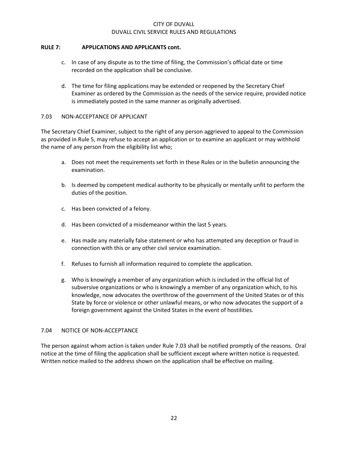## **RULE 7: APPLICATIONS AND APPLICANTS cont.**

- c. In case of any dispute as to the time of filing, the Commission's official date or time recorded on the application shall be conclusive.
- d. The time for filing applications may be extended or reopened by the Secretary Chief Examiner as ordered by the Commission as the needs of the service require, provided notice is immediately posted in the same manner as originally advertised.

#### 7.03 NON-ACCEPTANCE OF APPLICANT

The Secretary Chief Examiner, subject to the right of any person aggrieved to appeal to the Commission as provided in Rule 5, may refuse to accept an application or to examine an applicant or may withhold the name of any person from the eligibility list who;

- a. Does not meet the requirements set forth in these Rules or in the bulletin announcing the examination.
- b. Is deemed by competent medical authority to be physically or mentally unfit to perform the duties of the position.
- c. Has been convicted of a felony.
- d. Has been convicted of a misdemeanor within the last 5 years.
- e. Has made any materially false statement or who has attempted any deception or fraud in connection with this or any other civil service examination.
- f. Refuses to furnish all information required to complete the application.
- g. Who is knowingly a member of any organization which is included in the official list of subversive organizations or who is knowingly a member of any organization which, to his knowledge, now advocates the overthrow of the government of the United States or of this State by force or violence or other unlawful means, or who now advocates the support of a foreign government against the United States in the event of hostilities.

#### 7.04 NOTICE OF NON-ACCEPTANCE

The person against whom action is taken under Rule 7.03 shall be notified promptly of the reasons. Oral notice at the time of filing the application shall be sufficient except where written notice is requested. Written notice mailed to the address shown on the application shall be effective on mailing.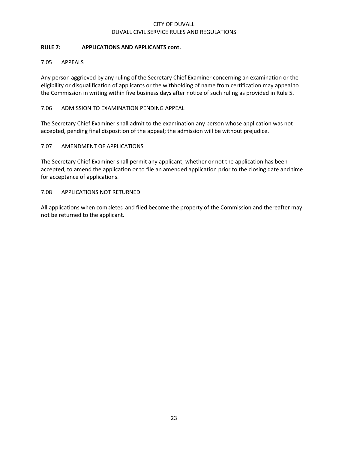## **RULE 7: APPLICATIONS AND APPLICANTS cont.**

## 7.05 APPEALS

Any person aggrieved by any ruling of the Secretary Chief Examiner concerning an examination or the eligibility or disqualification of applicants or the withholding of name from certification may appeal to the Commission in writing within five business days after notice of such ruling as provided in Rule 5.

## 7.06 ADMISSION TO EXAMINATION PENDING APPEAL

The Secretary Chief Examiner shall admit to the examination any person whose application was not accepted, pending final disposition of the appeal; the admission will be without prejudice.

#### 7.07 AMENDMENT OF APPLICATIONS

The Secretary Chief Examiner shall permit any applicant, whether or not the application has been accepted, to amend the application or to file an amended application prior to the closing date and time for acceptance of applications.

#### 7.08 APPLICATIONS NOT RETURNED

All applications when completed and filed become the property of the Commission and thereafter may not be returned to the applicant.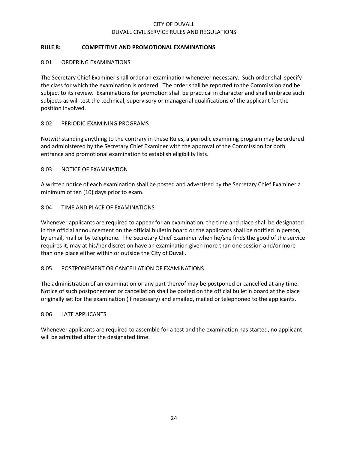## **RULE 8: COMPETITIVE AND PROMOTIONAL EXAMINATIONS**

#### 8.01 ORDERING EXAMINATIONS

The Secretary Chief Examiner shall order an examination whenever necessary. Such order shall specify the class for which the examination is ordered. The order shall be reported to the Commission and be subject to its review. Examinations for promotion shall be practical in character and shall embrace such subjects as will test the technical, supervisory or managerial qualifications of the applicant for the position involved.

## 8.02 PERIODIC EXAMINING PROGRAMS

Notwithstanding anything to the contrary in these Rules, a periodic examining program may be ordered and administered by the Secretary Chief Examiner with the approval of the Commission for both entrance and promotional examination to establish eligibility lists.

## 8.03 NOTICE OF EXAMINATION

A written notice of each examination shall be posted and advertised by the Secretary Chief Examiner a minimum of ten (10) days prior to exam.

## 8.04 TIME AND PLACE OF EXAMINATIONS

Whenever applicants are required to appear for an examination, the time and place shall be designated in the official announcement on the official bulletin board or the applicants shall be notified in person, by email, mail or by telephone. The Secretary Chief Examiner when he/she finds the good of the service requires it, may at his/her discretion have an examination given more than one session and/or more than one place either within or outside the City of Duvall.

#### 8.05 POSTPONEMENT OR CANCELLATION OF EXAMINATIONS

The administration of an examination or any part thereof may be postponed or cancelled at any time. Notice of such postponement or cancellation shall be posted on the official bulletin board at the place originally set for the examination (if necessary) and emailed, mailed or telephoned to the applicants.

#### 8.06 LATE APPLICANTS

Whenever applicants are required to assemble for a test and the examination has started, no applicant will be admitted after the designated time.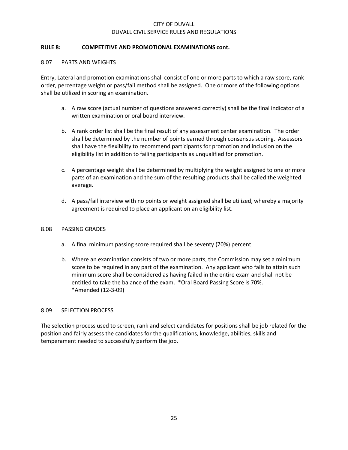#### **RULE 8: COMPETITIVE AND PROMOTIONAL EXAMINATIONS cont.**

#### 8.07 PARTS AND WEIGHTS

Entry, Lateral and promotion examinations shall consist of one or more parts to which a raw score, rank order, percentage weight or pass/fail method shall be assigned. One or more of the following options shall be utilized in scoring an examination.

- a. A raw score (actual number of questions answered correctly) shall be the final indicator of a written examination or oral board interview.
- b. A rank order list shall be the final result of any assessment center examination. The order shall be determined by the number of points earned through consensus scoring. Assessors shall have the flexibility to recommend participants for promotion and inclusion on the eligibility list in addition to failing participants as unqualified for promotion.
- c. A percentage weight shall be determined by multiplying the weight assigned to one or more parts of an examination and the sum of the resulting products shall be called the weighted average.
- d. A pass/fail interview with no points or weight assigned shall be utilized, whereby a majority agreement is required to place an applicant on an eligibility list.

#### 8.08 PASSING GRADES

- a. A final minimum passing score required shall be seventy (70%) percent.
- b. Where an examination consists of two or more parts, the Commission may set a minimum score to be required in any part of the examination. Any applicant who fails to attain such minimum score shall be considered as having failed in the entire exam and shall not be entitled to take the balance of the exam. \*Oral Board Passing Score is 70%. \*Amended (12-3-09)

#### 8.09 SELECTION PROCESS

The selection process used to screen, rank and select candidates for positions shall be job related for the position and fairly assess the candidates for the qualifications, knowledge, abilities, skills and temperament needed to successfully perform the job.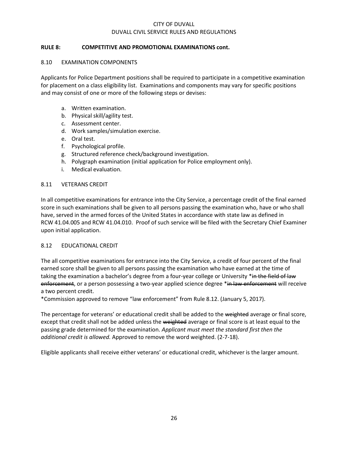## **RULE 8: COMPETITIVE AND PROMOTIONAL EXAMINATIONS cont.**

#### 8.10 EXAMINATION COMPONENTS

Applicants for Police Department positions shall be required to participate in a competitive examination for placement on a class eligibility list. Examinations and components may vary for specific positions and may consist of one or more of the following steps or devises:

- a. Written examination.
- b. Physical skill/agility test.
- c. Assessment center.
- d. Work samples/simulation exercise.
- e. Oral test.
- f. Psychological profile.
- g. Structured reference check/background investigation.
- h. Polygraph examination (initial application for Police employment only).
- i. Medical evaluation.

#### 8.11 VETERANS CREDIT

In all competitive examinations for entrance into the City Service, a percentage credit of the final earned score in such examinations shall be given to all persons passing the examination who, have or who shall have, served in the armed forces of the United States in accordance with state law as defined in RCW 41.04.005 and RCW 41.04.010. Proof of such service will be filed with the Secretary Chief Examiner upon initial application.

#### 8.12 EDUCATIONAL CREDIT

The all competitive examinations for entrance into the City Service, a credit of four percent of the final earned score shall be given to all persons passing the examination who have earned at the time of taking the examination a bachelor's degree from a four-year college or University \*in the field of law enforcement, or a person possessing a two-year applied science degree \*in law enforcement will receive a two percent credit.

\*Commission approved to remove "law enforcement" from Rule 8.12. (January 5, 2017).

The percentage for veterans' or educational credit shall be added to the weighted average or final score, except that credit shall not be added unless the weighted average or final score is at least equal to the passing grade determined for the examination. *Applicant must meet the standard first then the additional credit is allowed.* Approved to remove the word weighted. (2-7-18).

Eligible applicants shall receive either veterans' or educational credit, whichever is the larger amount.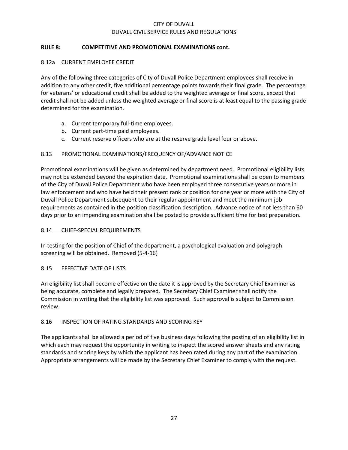## **RULE 8: COMPETITIVE AND PROMOTIONAL EXAMINATIONS cont.**

## 8.12a CURRENT EMPLOYEE CREDIT

Any of the following three categories of City of Duvall Police Department employees shall receive in addition to any other credit, five additional percentage points towards their final grade. The percentage for veterans' or educational credit shall be added to the weighted average or final score, except that credit shall not be added unless the weighted average or final score is at least equal to the passing grade determined for the examination.

- a. Current temporary full-time employees.
- b. Current part-time paid employees.
- c. Current reserve officers who are at the reserve grade level four or above.

## 8.13 PROMOTIONAL EXAMINATIONS/FREQUENCY OF/ADVANCE NOTICE

Promotional examinations will be given as determined by department need. Promotional eligibility lists may not be extended beyond the expiration date. Promotional examinations shall be open to members of the City of Duvall Police Department who have been employed three consecutive years or more in law enforcement and who have held their present rank or position for one year or more with the City of Duvall Police Department subsequent to their regular appointment and meet the minimum job requirements as contained in the position classification description. Advance notice of not less than 60 days prior to an impending examination shall be posted to provide sufficient time for test preparation.

#### 8.14 CHIEF-SPECIAL REQUIREMENTS

In testing for the position of Chief of the department, a psychological evaluation and polygraph screening will be obtained. Removed (5-4-16)

#### 8.15 EFFECTIVE DATE OF LISTS

An eligibility list shall become effective on the date it is approved by the Secretary Chief Examiner as being accurate, complete and legally prepared. The Secretary Chief Examiner shall notify the Commission in writing that the eligibility list was approved. Such approval is subject to Commission review.

#### 8.16 INSPECTION OF RATING STANDARDS AND SCORING KEY

The applicants shall be allowed a period of five business days following the posting of an eligibility list in which each may request the opportunity in writing to inspect the scored answer sheets and any rating standards and scoring keys by which the applicant has been rated during any part of the examination. Appropriate arrangements will be made by the Secretary Chief Examiner to comply with the request.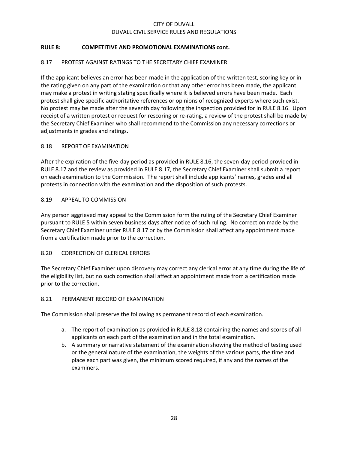## **RULE 8: COMPETITIVE AND PROMOTIONAL EXAMINATIONS cont.**

## 8.17 PROTEST AGAINST RATINGS TO THE SECRETARY CHIEF EXAMINER

If the applicant believes an error has been made in the application of the written test, scoring key or in the rating given on any part of the examination or that any other error has been made, the applicant may make a protest in writing stating specifically where it is believed errors have been made. Each protest shall give specific authoritative references or opinions of recognized experts where such exist. No protest may be made after the seventh day following the inspection provided for in RULE 8.16. Upon receipt of a written protest or request for rescoring or re-rating, a review of the protest shall be made by the Secretary Chief Examiner who shall recommend to the Commission any necessary corrections or adjustments in grades and ratings.

#### 8.18 REPORT OF EXAMINATION

After the expiration of the five-day period as provided in RULE 8.16, the seven-day period provided in RULE 8.17 and the review as provided in RULE 8.17, the Secretary Chief Examiner shall submit a report on each examination to the Commission. The report shall include applicants' names, grades and all protests in connection with the examination and the disposition of such protests.

#### 8.19 APPEAL TO COMMISSION

Any person aggrieved may appeal to the Commission form the ruling of the Secretary Chief Examiner pursuant to RULE 5 within seven business days after notice of such ruling. No correction made by the Secretary Chief Examiner under RULE 8.17 or by the Commission shall affect any appointment made from a certification made prior to the correction.

#### 8.20 CORRECTION OF CLERICAL ERRORS

The Secretary Chief Examiner upon discovery may correct any clerical error at any time during the life of the eligibility list, but no such correction shall affect an appointment made from a certification made prior to the correction.

#### 8.21 PERMANENT RECORD OF EXAMINATION

The Commission shall preserve the following as permanent record of each examination.

- a. The report of examination as provided in RULE 8.18 containing the names and scores of all applicants on each part of the examination and in the total examination.
- b. A summary or narrative statement of the examination showing the method of testing used or the general nature of the examination, the weights of the various parts, the time and place each part was given, the minimum scored required, if any and the names of the examiners.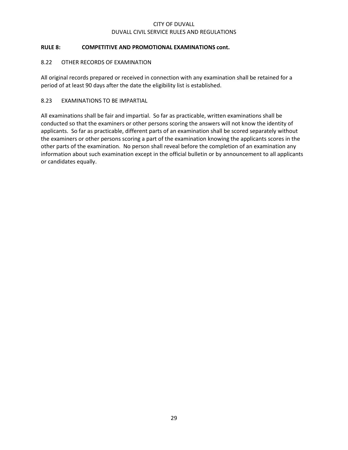## **RULE 8: COMPETITIVE AND PROMOTIONAL EXAMINATIONS cont.**

## 8.22 OTHER RECORDS OF EXAMINATION

All original records prepared or received in connection with any examination shall be retained for a period of at least 90 days after the date the eligibility list is established.

## 8.23 EXAMINATIONS TO BE IMPARTIAL

All examinations shall be fair and impartial. So far as practicable, written examinations shall be conducted so that the examiners or other persons scoring the answers will not know the identity of applicants. So far as practicable, different parts of an examination shall be scored separately without the examiners or other persons scoring a part of the examination knowing the applicants scores in the other parts of the examination. No person shall reveal before the completion of an examination any information about such examination except in the official bulletin or by announcement to all applicants or candidates equally.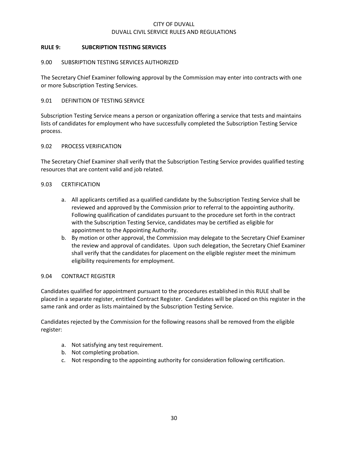## **RULE 9: SUBCRIPTION TESTING SERVICES**

#### 9.00 SUBSRIPTION TESTING SERVICES AUTHORIZED

The Secretary Chief Examiner following approval by the Commission may enter into contracts with one or more Subscription Testing Services.

## 9.01 DEFINITION OF TESTING SERVICE

Subscription Testing Service means a person or organization offering a service that tests and maintains lists of candidates for employment who have successfully completed the Subscription Testing Service process.

#### 9.02 PROCESS VERIFICATION

The Secretary Chief Examiner shall verify that the Subscription Testing Service provides qualified testing resources that are content valid and job related.

## 9.03 CERTIFICATION

- a. All applicants certified as a qualified candidate by the Subscription Testing Service shall be reviewed and approved by the Commission prior to referral to the appointing authority. Following qualification of candidates pursuant to the procedure set forth in the contract with the Subscription Testing Service, candidates may be certified as eligible for appointment to the Appointing Authority.
- b. By motion or other approval, the Commission may delegate to the Secretary Chief Examiner the review and approval of candidates. Upon such delegation, the Secretary Chief Examiner shall verify that the candidates for placement on the eligible register meet the minimum eligibility requirements for employment.

#### 9.04 CONTRACT REGISTER

Candidates qualified for appointment pursuant to the procedures established in this RULE shall be placed in a separate register, entitled Contract Register. Candidates will be placed on this register in the same rank and order as lists maintained by the Subscription Testing Service.

Candidates rejected by the Commission for the following reasons shall be removed from the eligible register:

- a. Not satisfying any test requirement.
- b. Not completing probation.
- c. Not responding to the appointing authority for consideration following certification.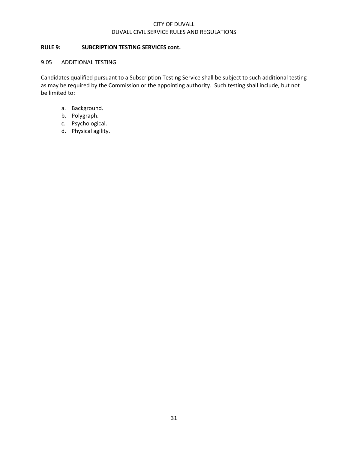## **RULE 9: SUBCRIPTION TESTING SERVICES cont.**

#### 9.05 ADDITIONAL TESTING

Candidates qualified pursuant to a Subscription Testing Service shall be subject to such additional testing as may be required by the Commission or the appointing authority. Such testing shall include, but not be limited to:

- a. Background.
- b. Polygraph.
- c. Psychological.
- d. Physical agility.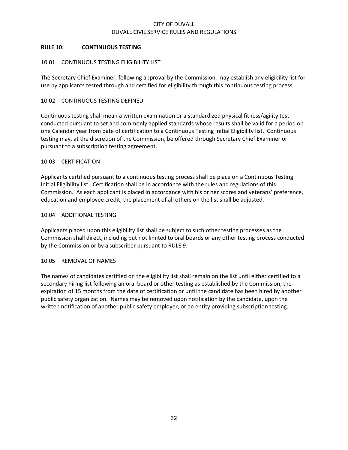## **RULE 10: CONTINUOUS TESTING**

## 10.01 CONTINUOUS TESTING ELIGIBILITY LIST

The Secretary Chief Examiner, following approval by the Commission, may establish any eligibility list for use by applicants tested through and certified for eligibility through this continuous testing process.

#### 10.02 CONTINUOUS TESTING DEFINED

Continuous testing shall mean a written examination or a standardized physical fitness/agility test conducted pursuant to set and commonly applied standards whose results shall be valid for a period on one Calendar year from date of certification to a Continuous Testing Initial Eligibility list. Continuous testing may, at the discretion of the Commission, be offered through Secretary Chief Examiner or pursuant to a subscription testing agreement.

#### 10.03 CERTIFICATION

Applicants certified pursuant to a continuous testing process shall be place on a Continuous Testing Initial Eligibility list. Certification shall be in accordance with the rules and regulations of this Commission. As each applicant is placed in accordance with his or her scores and veterans' preference, education and employee credit, the placement of all others on the list shall be adjusted.

#### 10.04 ADDITIONAL TESTING

Applicants placed upon this eligibility list shall be subject to such other testing processes as the Commission shall direct, including but not limited to oral boards or any other testing process conducted by the Commission or by a subscriber pursuant to RULE 9.

#### 10.05 REMOVAL OF NAMES

The names of candidates certified on the eligibility list shall remain on the list until either certified to a secondary hiring list following an oral board or other testing as established by the Commission, the expiration of 15 months from the date of certification or until the candidate has been hired by another public safety organization. Names may be removed upon notification by the candidate, upon the written notification of another public safety employer, or an entity providing subscription testing.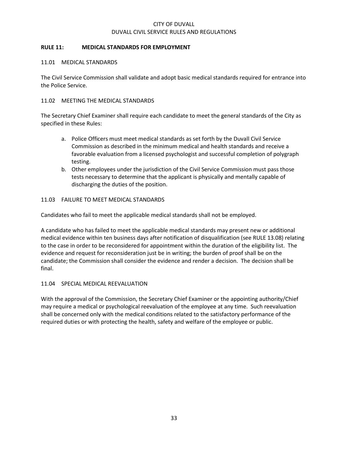#### **RULE 11: MEDICAL STANDARDS FOR EMPLOYMENT**

#### 11.01 MEDICAL STANDARDS

The Civil Service Commission shall validate and adopt basic medical standards required for entrance into the Police Service.

#### 11.02 MEETING THE MEDICAL STANDARDS

The Secretary Chief Examiner shall require each candidate to meet the general standards of the City as specified in these Rules:

- a. Police Officers must meet medical standards as set forth by the Duvall Civil Service Commission as described in the minimum medical and health standards and receive a favorable evaluation from a licensed psychologist and successful completion of polygraph testing.
- b. Other employees under the jurisdiction of the Civil Service Commission must pass those tests necessary to determine that the applicant is physically and mentally capable of discharging the duties of the position.

#### 11.03 FAILURE TO MEET MEDICAL STANDARDS

Candidates who fail to meet the applicable medical standards shall not be employed.

A candidate who has failed to meet the applicable medical standards may present new or additional medical evidence within ten business days after notification of disqualification (see RULE 13.08) relating to the case in order to be reconsidered for appointment within the duration of the eligibility list. The evidence and request for reconsideration just be in writing; the burden of proof shall be on the candidate; the Commission shall consider the evidence and render a decision. The decision shall be final.

#### 11.04 SPECIAL MEDICAL REEVALUATION

With the approval of the Commission, the Secretary Chief Examiner or the appointing authority/Chief may require a medical or psychological reevaluation of the employee at any time. Such reevaluation shall be concerned only with the medical conditions related to the satisfactory performance of the required duties or with protecting the health, safety and welfare of the employee or public.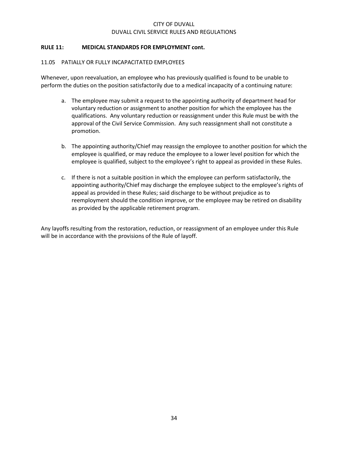## **RULE 11: MEDICAL STANDARDS FOR EMPLOYMENT cont.**

## 11.05 PATIALLY OR FULLY INCAPACITATED EMPLOYEES

Whenever, upon reevaluation, an employee who has previously qualified is found to be unable to perform the duties on the position satisfactorily due to a medical incapacity of a continuing nature:

- a. The employee may submit a request to the appointing authority of department head for voluntary reduction or assignment to another position for which the employee has the qualifications. Any voluntary reduction or reassignment under this Rule must be with the approval of the Civil Service Commission. Any such reassignment shall not constitute a promotion.
- b. The appointing authority/Chief may reassign the employee to another position for which the employee is qualified, or may reduce the employee to a lower level position for which the employee is qualified, subject to the employee's right to appeal as provided in these Rules.
- c. If there is not a suitable position in which the employee can perform satisfactorily, the appointing authority/Chief may discharge the employee subject to the employee's rights of appeal as provided in these Rules; said discharge to be without prejudice as to reemployment should the condition improve, or the employee may be retired on disability as provided by the applicable retirement program.

Any layoffs resulting from the restoration, reduction, or reassignment of an employee under this Rule will be in accordance with the provisions of the Rule of layoff.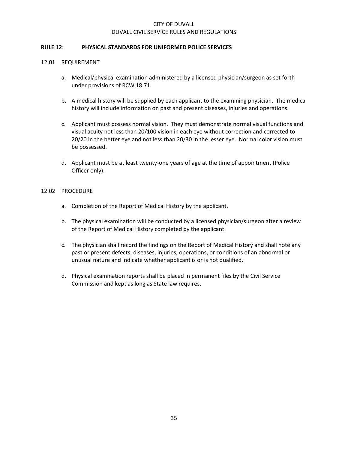#### **RULE 12: PHYSICAL STANDARDS FOR UNIFORMED POLICE SERVICES**

#### 12.01 REQUIREMENT

- a. Medical/physical examination administered by a licensed physician/surgeon as set forth under provisions of RCW 18.71.
- b. A medical history will be supplied by each applicant to the examining physician. The medical history will include information on past and present diseases, injuries and operations.
- c. Applicant must possess normal vision. They must demonstrate normal visual functions and visual acuity not less than 20/100 vision in each eye without correction and corrected to 20/20 in the better eye and not less than 20/30 in the lesser eye. Normal color vision must be possessed.
- d. Applicant must be at least twenty-one years of age at the time of appointment (Police Officer only).

#### 12.02 PROCEDURE

- a. Completion of the Report of Medical History by the applicant.
- b. The physical examination will be conducted by a licensed physician/surgeon after a review of the Report of Medical History completed by the applicant.
- c. The physician shall record the findings on the Report of Medical History and shall note any past or present defects, diseases, injuries, operations, or conditions of an abnormal or unusual nature and indicate whether applicant is or is not qualified.
- d. Physical examination reports shall be placed in permanent files by the Civil Service Commission and kept as long as State law requires.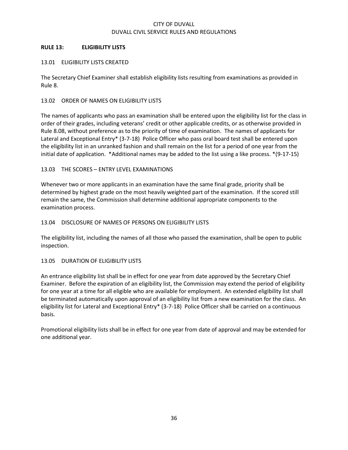## **RULE 13: ELIGIBILITY LISTS**

## 13.01 ELIGIBILITY LISTS CREATED

The Secretary Chief Examiner shall establish eligibility lists resulting from examinations as provided in Rule 8.

## 13.02 ORDER OF NAMES ON ELIGIBILITY LISTS

The names of applicants who pass an examination shall be entered upon the eligibility list for the class in order of their grades, including veterans' credit or other applicable credits, or as otherwise provided in Rule 8.08, without preference as to the priority of time of examination. The names of applicants for Lateral and Exceptional Entry\* (3-7-18) Police Officer who pass oral board test shall be entered upon the eligibility list in an unranked fashion and shall remain on the list for a period of one year from the initial date of application. \*Additional names may be added to the list using a like process. \*(9-17-15)

## 13.03 THE SCORES – ENTRY LEVEL EXAMINATIONS

Whenever two or more applicants in an examination have the same final grade, priority shall be determined by highest grade on the most heavily weighted part of the examination. If the scored still remain the same, the Commission shall determine additional appropriate components to the examination process.

## 13.04 DISCLOSURE OF NAMES OF PERSONS ON ELIGIBILITY LISTS

The eligibility list, including the names of all those who passed the examination, shall be open to public inspection.

## 13.05 DURATION OF ELIGIBILITY LISTS

An entrance eligibility list shall be in effect for one year from date approved by the Secretary Chief Examiner. Before the expiration of an eligibility list, the Commission may extend the period of eligibility for one year at a time for all eligible who are available for employment. An extended eligibility list shall be terminated automatically upon approval of an eligibility list from a new examination for the class. An eligibility list for Lateral and Exceptional Entry\* (3-7-18) Police Officer shall be carried on a continuous basis.

Promotional eligibility lists shall be in effect for one year from date of approval and may be extended for one additional year.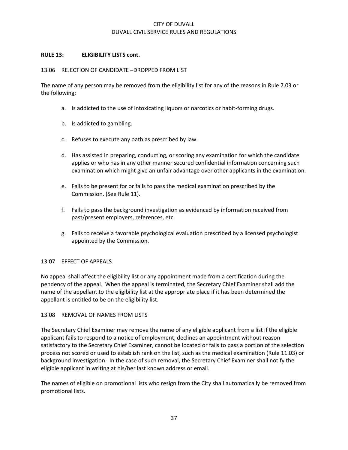#### **RULE 13: ELIGIBILITY LISTS cont.**

#### 13.06 REJECTION OF CANDIDATE –DROPPED FROM LIST

The name of any person may be removed from the eligibility list for any of the reasons in Rule 7.03 or the following;

- a. Is addicted to the use of intoxicating liquors or narcotics or habit-forming drugs.
- b. Is addicted to gambling.
- c. Refuses to execute any oath as prescribed by law.
- d. Has assisted in preparing, conducting, or scoring any examination for which the candidate applies or who has in any other manner secured confidential information concerning such examination which might give an unfair advantage over other applicants in the examination.
- e. Fails to be present for or fails to pass the medical examination prescribed by the Commission. (See Rule 11).
- f. Fails to pass the background investigation as evidenced by information received from past/present employers, references, etc.
- g. Fails to receive a favorable psychological evaluation prescribed by a licensed psychologist appointed by the Commission.

#### 13.07 EFFECT OF APPEALS

No appeal shall affect the eligibility list or any appointment made from a certification during the pendency of the appeal. When the appeal is terminated, the Secretary Chief Examiner shall add the name of the appellant to the eligibility list at the appropriate place if it has been determined the appellant is entitled to be on the eligibility list.

#### 13.08 REMOVAL OF NAMES FROM LISTS

The Secretary Chief Examiner may remove the name of any eligible applicant from a list if the eligible applicant fails to respond to a notice of employment, declines an appointment without reason satisfactory to the Secretary Chief Examiner, cannot be located or fails to pass a portion of the selection process not scored or used to establish rank on the list, such as the medical examination (Rule 11.03) or background investigation. In the case of such removal, the Secretary Chief Examiner shall notify the eligible applicant in writing at his/her last known address or email.

The names of eligible on promotional lists who resign from the City shall automatically be removed from promotional lists.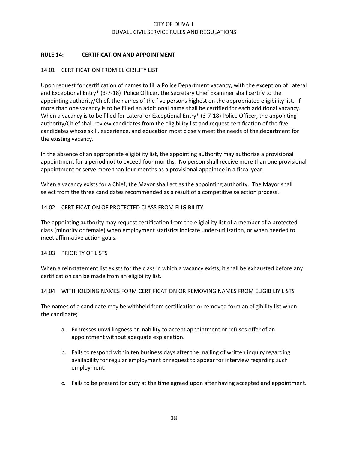## **RULE 14: CERTIFICATION AND APPOINTMENT**

## 14.01 CERTIFICATION FROM ELIGIBILITY LIST

Upon request for certification of names to fill a Police Department vacancy, with the exception of Lateral and Exceptional Entry\* (3-7-18) Police Officer, the Secretary Chief Examiner shall certify to the appointing authority/Chief, the names of the five persons highest on the appropriated eligibility list. If more than one vacancy is to be filled an additional name shall be certified for each additional vacancy. When a vacancy is to be filled for Lateral or Exceptional Entry\* (3-7-18) Police Officer, the appointing authority/Chief shall review candidates from the eligibility list and request certification of the five candidates whose skill, experience, and education most closely meet the needs of the department for the existing vacancy.

In the absence of an appropriate eligibility list, the appointing authority may authorize a provisional appointment for a period not to exceed four months. No person shall receive more than one provisional appointment or serve more than four months as a provisional appointee in a fiscal year.

When a vacancy exists for a Chief, the Mayor shall act as the appointing authority. The Mayor shall select from the three candidates recommended as a result of a competitive selection process.

## 14.02 CERTIFICATION OF PROTECTED CLASS FROM ELIGIBILITY

The appointing authority may request certification from the eligibility list of a member of a protected class (minority or female) when employment statistics indicate under-utilization, or when needed to meet affirmative action goals.

#### 14.03 PRIORITY OF LISTS

When a reinstatement list exists for the class in which a vacancy exists, it shall be exhausted before any certification can be made from an eligibility list.

#### 14.04 WITHHOLDING NAMES FORM CERTIFICATION OR REMOVING NAMES FROM ELIGIBILIY LISTS

The names of a candidate may be withheld from certification or removed form an eligibility list when the candidate;

- a. Expresses unwillingness or inability to accept appointment or refuses offer of an appointment without adequate explanation.
- b. Fails to respond within ten business days after the mailing of written inquiry regarding availability for regular employment or request to appear for interview regarding such employment.
- c. Fails to be present for duty at the time agreed upon after having accepted and appointment.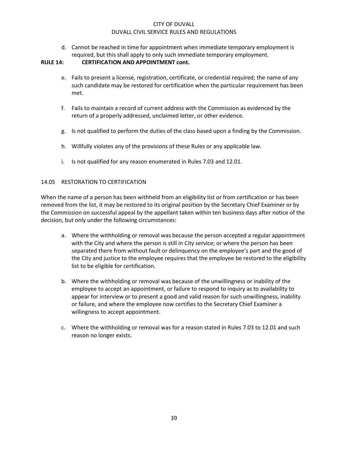d. Cannot be reached in time for appointment when immediate temporary employment is required, but this shall apply to only such immediate temporary employment.

#### **RULE 14: CERTIFICATION AND APPOINTMENT cont.**

- e. Fails to present a license, registration, certificate, or credential required; the name of any such candidate may be restored for certification when the particular requirement has been met.
- f. Fails to maintain a record of current address with the Commission as evidenced by the return of a properly addressed, unclaimed letter, or other evidence.
- g. Is not qualified to perform the duties of the class based upon a finding by the Commission.
- h. Willfully violates any of the provisions of these Rules or any applicable law.
- i. Is not qualified for any reason enumerated in Rules 7.03 and 12.01.

#### 14.05 RESTORATION TO CERTIFICATION

When the name of a person has been withheld from an eligibility list or from certification or has been removed from the list, it may be restored to its original position by the Secretary Chief Examiner or by the Commission on successful appeal by the appellant taken within ten business days after notice of the decision, but only under the following circumstances:

- a. Where the withholding or removal was because the person accepted a regular appointment with the City and where the person is still in City service; or where the person has been separated there from without fault or delinquency on the employee's part and the good of the City and justice to the employee requires that the employee be restored to the eligibility list to be eligible for certification.
- b. Where the withholding or removal was because of the unwillingness or inability of the employee to accept an appointment, or failure to respond to inquiry as to availability to appear for interview or to present a good and valid reason for such unwillingness, inability or failure, and where the employee now certifies to the Secretary Chief Examiner a willingness to accept appointment.
- c. Where the withholding or removal was for a reason stated in Rules 7.03 to 12.01 and such reason no longer exists.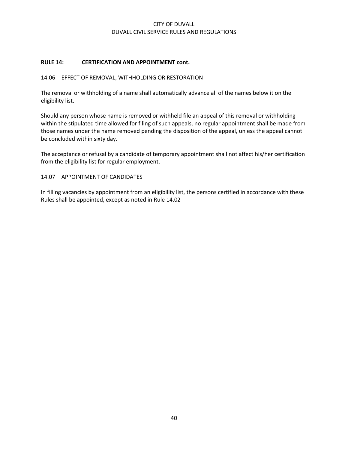## **RULE 14: CERTIFICATION AND APPOINTMENT cont.**

#### 14.06 EFFECT OF REMOVAL, WITHHOLDING OR RESTORATION

The removal or withholding of a name shall automatically advance all of the names below it on the eligibility list.

Should any person whose name is removed or withheld file an appeal of this removal or withholding within the stipulated time allowed for filing of such appeals, no regular appointment shall be made from those names under the name removed pending the disposition of the appeal, unless the appeal cannot be concluded within sixty day.

The acceptance or refusal by a candidate of temporary appointment shall not affect his/her certification from the eligibility list for regular employment.

#### 14.07 APPOINTMENT OF CANDIDATES

In filling vacancies by appointment from an eligibility list, the persons certified in accordance with these Rules shall be appointed, except as noted in Rule 14.02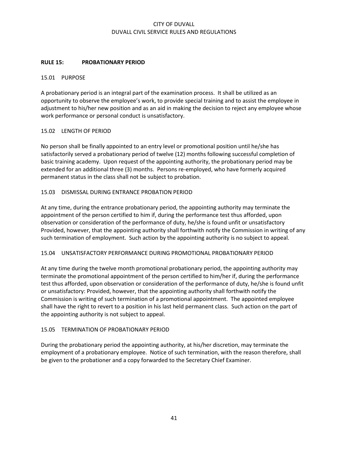## **RULE 15: PROBATIONARY PERIOD**

#### 15.01 PURPOSE

A probationary period is an integral part of the examination process. It shall be utilized as an opportunity to observe the employee's work, to provide special training and to assist the employee in adjustment to his/her new position and as an aid in making the decision to reject any employee whose work performance or personal conduct is unsatisfactory.

#### 15.02 LENGTH OF PERIOD

No person shall be finally appointed to an entry level or promotional position until he/she has satisfactorily served a probationary period of twelve (12) months following successful completion of basic training academy. Upon request of the appointing authority, the probationary period may be extended for an additional three (3) months. Persons re-employed, who have formerly acquired permanent status in the class shall not be subject to probation.

## 15.03 DISMISSAL DURING ENTRANCE PROBATION PERIOD

At any time, during the entrance probationary period, the appointing authority may terminate the appointment of the person certified to him if, during the performance test thus afforded, upon observation or consideration of the performance of duty, he/she is found unfit or unsatisfactory Provided, however, that the appointing authority shall forthwith notify the Commission in writing of any such termination of employment. Such action by the appointing authority is no subject to appeal.

#### 15.04 UNSATISFACTORY PERFORMANCE DURING PROMOTIONAL PROBATIONARY PERIOD

At any time during the twelve month promotional probationary period, the appointing authority may terminate the promotional appointment of the person certified to him/her if, during the performance test thus afforded, upon observation or consideration of the performance of duty, he/she is found unfit or unsatisfactory: Provided, however, that the appointing authority shall forthwith notify the Commission is writing of such termination of a promotional appointment. The appointed employee shall have the right to revert to a position in his last held permanent class. Such action on the part of the appointing authority is not subject to appeal.

#### 15.05 TERMINATION OF PROBATIONARY PERIOD

During the probationary period the appointing authority, at his/her discretion, may terminate the employment of a probationary employee. Notice of such termination, with the reason therefore, shall be given to the probationer and a copy forwarded to the Secretary Chief Examiner.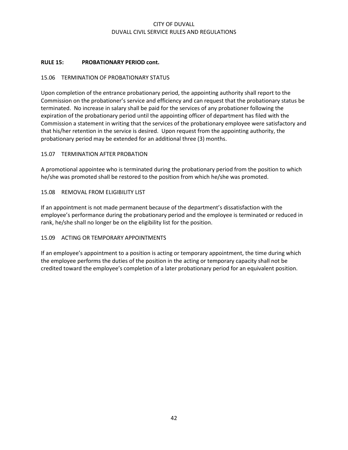## **RULE 15: PROBATIONARY PERIOD cont.**

## 15.06 TERMINATION OF PROBATIONARY STATUS

Upon completion of the entrance probationary period, the appointing authority shall report to the Commission on the probationer's service and efficiency and can request that the probationary status be terminated. No increase in salary shall be paid for the services of any probationer following the expiration of the probationary period until the appointing officer of department has filed with the Commission a statement in writing that the services of the probationary employee were satisfactory and that his/her retention in the service is desired. Upon request from the appointing authority, the probationary period may be extended for an additional three (3) months.

#### 15.07 TERMINATION AFTER PROBATION

A promotional appointee who is terminated during the probationary period from the position to which he/she was promoted shall be restored to the position from which he/she was promoted.

#### 15.08 REMOVAL FROM ELIGIBILITY LIST

If an appointment is not made permanent because of the department's dissatisfaction with the employee's performance during the probationary period and the employee is terminated or reduced in rank, he/she shall no longer be on the eligibility list for the position.

#### 15.09 ACTING OR TEMPORARY APPOINTMENTS

If an employee's appointment to a position is acting or temporary appointment, the time during which the employee performs the duties of the position in the acting or temporary capacity shall not be credited toward the employee's completion of a later probationary period for an equivalent position.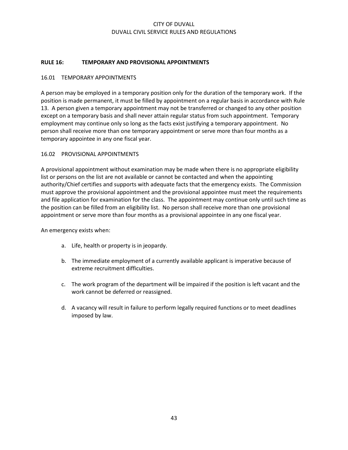## **RULE 16: TEMPORARY AND PROVISIONAL APPOINTMENTS**

#### 16.01 TEMPORARY APPOINTMENTS

A person may be employed in a temporary position only for the duration of the temporary work. If the position is made permanent, it must be filled by appointment on a regular basis in accordance with Rule 13. A person given a temporary appointment may not be transferred or changed to any other position except on a temporary basis and shall never attain regular status from such appointment. Temporary employment may continue only so long as the facts exist justifying a temporary appointment. No person shall receive more than one temporary appointment or serve more than four months as a temporary appointee in any one fiscal year.

## 16.02 PROVISIONAL APPOINTMENTS

A provisional appointment without examination may be made when there is no appropriate eligibility list or persons on the list are not available or cannot be contacted and when the appointing authority/Chief certifies and supports with adequate facts that the emergency exists. The Commission must approve the provisional appointment and the provisional appointee must meet the requirements and file application for examination for the class. The appointment may continue only until such time as the position can be filled from an eligibility list. No person shall receive more than one provisional appointment or serve more than four months as a provisional appointee in any one fiscal year.

An emergency exists when:

- a. Life, health or property is in jeopardy.
- b. The immediate employment of a currently available applicant is imperative because of extreme recruitment difficulties.
- c. The work program of the department will be impaired if the position is left vacant and the work cannot be deferred or reassigned.
- d. A vacancy will result in failure to perform legally required functions or to meet deadlines imposed by law.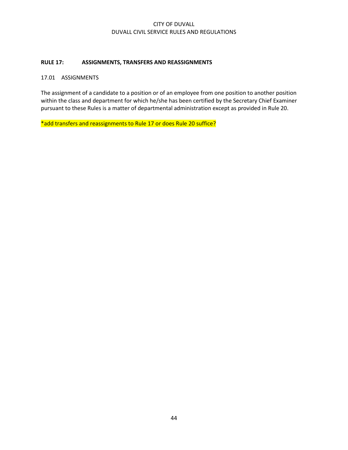## **RULE 17: ASSIGNMENTS, TRANSFERS AND REASSIGNMENTS**

#### 17.01 ASSIGNMENTS

The assignment of a candidate to a position or of an employee from one position to another position within the class and department for which he/she has been certified by the Secretary Chief Examiner pursuant to these Rules is a matter of departmental administration except as provided in Rule 20.

\*add transfers and reassignments to Rule 17 or does Rule 20 suffice?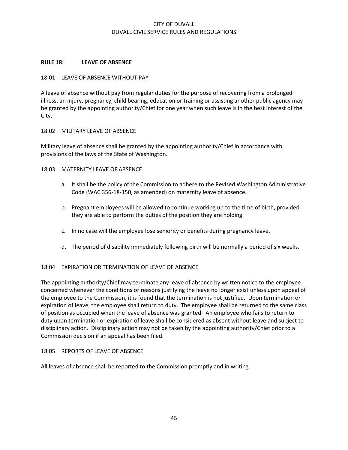#### **RULE 18: LEAVE OF ABSENCE**

#### 18.01 LEAVE OF ABSENCE WITHOUT PAY

A leave of absence without pay from regular duties for the purpose of recovering from a prolonged illness, an injury, pregnancy, child bearing, education or training or assisting another public agency may be granted by the appointing authority/Chief for one year when such leave is in the best interest of the City.

#### 18.02 MILITARY LEAVE OF ABSENCE

Military leave of absence shall be granted by the appointing authority/Chief in accordance with provisions of the laws of the State of Washington.

#### 18.03 MATERNITY LEAVE OF ABSENCE

- a. It shall be the policy of the Commission to adhere to the Revised Washington Administrative Code (WAC 356-18-150, as amended) on maternity leave of absence.
- b. Pregnant employees will be allowed to continue working up to the time of birth, provided they are able to perform the duties of the position they are holding.
- c. In no case will the employee lose seniority or benefits during pregnancy leave.
- d. The period of disability immediately following birth will be normally a period of six weeks.

#### 18.04 EXPIRATION OR TERMINATION OF LEAVE OF ABSENCE

The appointing authority/Chief may terminate any leave of absence by written notice to the employee concerned whenever the conditions or reasons justifying the leave no longer exist unless upon appeal of the employee to the Commission, it is found that the termination is not justified. Upon termination or expiration of leave, the employee shall return to duty. The employee shall be returned to the same class of position as occupied when the leave of absence was granted. An employee who fails to return to duty upon termination or expiration of leave shall be considered as absent without leave and subject to disciplinary action. Disciplinary action may not be taken by the appointing authority/Chief prior to a Commission decision if an appeal has been filed.

#### 18.05 REPORTS OF LEAVE OF ABSENCE

All leaves of absence shall be reported to the Commission promptly and in writing.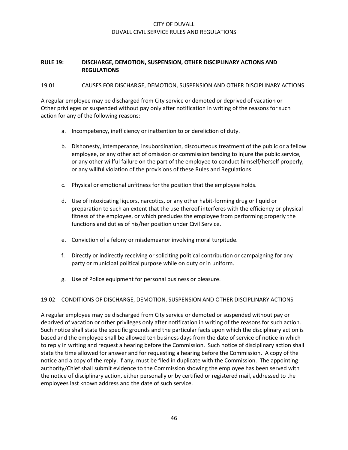## **RULE 19: DISCHARGE, DEMOTION, SUSPENSION, OTHER DISCIPLINARY ACTIONS AND REGULATIONS**

#### 19.01 CAUSES FOR DISCHARGE, DEMOTION, SUSPENSION AND OTHER DISCIPLINARY ACTIONS

A regular employee may be discharged from City service or demoted or deprived of vacation or Other privileges or suspended without pay only after notification in writing of the reasons for such action for any of the following reasons:

- a. Incompetency, inefficiency or inattention to or dereliction of duty.
- b. Dishonesty, intemperance, insubordination, discourteous treatment of the public or a fellow employee, or any other act of omission or commission tending to injure the public service, or any other willful failure on the part of the employee to conduct himself/herself properly, or any willful violation of the provisions of these Rules and Regulations.
- c. Physical or emotional unfitness for the position that the employee holds.
- d. Use of intoxicating liquors, narcotics, or any other habit-forming drug or liquid or preparation to such an extent that the use thereof interferes with the efficiency or physical fitness of the employee, or which precludes the employee from performing properly the functions and duties of his/her position under Civil Service.
- e. Conviction of a felony or misdemeanor involving moral turpitude.
- f. Directly or indirectly receiving or soliciting political contribution or campaigning for any party or municipal political purpose while on duty or in uniform.
- g. Use of Police equipment for personal business or pleasure.

## 19.02 CONDITIONS OF DISCHARGE, DEMOTION, SUSPENSION AND OTHER DISCIPLINARY ACTIONS

A regular employee may be discharged from City service or demoted or suspended without pay or deprived of vacation or other privileges only after notification in writing of the reasons for such action. Such notice shall state the specific grounds and the particular facts upon which the disciplinary action is based and the employee shall be allowed ten business days from the date of service of notice in which to reply in writing and request a hearing before the Commission. Such notice of disciplinary action shall state the time allowed for answer and for requesting a hearing before the Commission. A copy of the notice and a copy of the reply, if any, must be filed in duplicate with the Commission. The appointing authority/Chief shall submit evidence to the Commission showing the employee has been served with the notice of disciplinary action, either personally or by certified or registered mail, addressed to the employees last known address and the date of such service.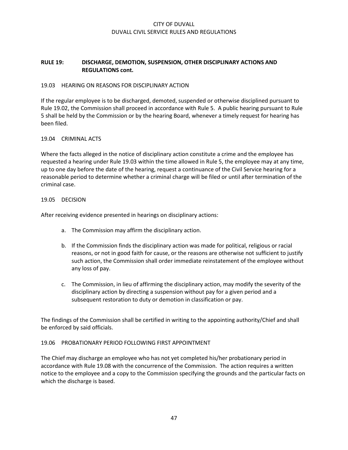## **RULE 19: DISCHARGE, DEMOTION, SUSPENSION, OTHER DISCIPLINARY ACTIONS AND REGULATIONS cont.**

## 19.03 HEARING ON REASONS FOR DISCIPLINARY ACTION

If the regular employee is to be discharged, demoted, suspended or otherwise disciplined pursuant to Rule 19.02, the Commission shall proceed in accordance with Rule 5. A public hearing pursuant to Rule 5 shall be held by the Commission or by the hearing Board, whenever a timely request for hearing has been filed.

#### 19.04 CRIMINAL ACTS

Where the facts alleged in the notice of disciplinary action constitute a crime and the employee has requested a hearing under Rule 19.03 within the time allowed in Rule 5, the employee may at any time, up to one day before the date of the hearing, request a continuance of the Civil Service hearing for a reasonable period to determine whether a criminal charge will be filed or until after termination of the criminal case.

## 19.05 DECISION

After receiving evidence presented in hearings on disciplinary actions:

- a. The Commission may affirm the disciplinary action.
- b. If the Commission finds the disciplinary action was made for political, religious or racial reasons, or not in good faith for cause, or the reasons are otherwise not sufficient to justify such action, the Commission shall order immediate reinstatement of the employee without any loss of pay.
- c. The Commission, in lieu of affirming the disciplinary action, may modify the severity of the disciplinary action by directing a suspension without pay for a given period and a subsequent restoration to duty or demotion in classification or pay.

The findings of the Commission shall be certified in writing to the appointing authority/Chief and shall be enforced by said officials.

#### 19.06 PROBATIONARY PERIOD FOLLOWING FIRST APPOINTMENT

The Chief may discharge an employee who has not yet completed his/her probationary period in accordance with Rule 19.08 with the concurrence of the Commission. The action requires a written notice to the employee and a copy to the Commission specifying the grounds and the particular facts on which the discharge is based.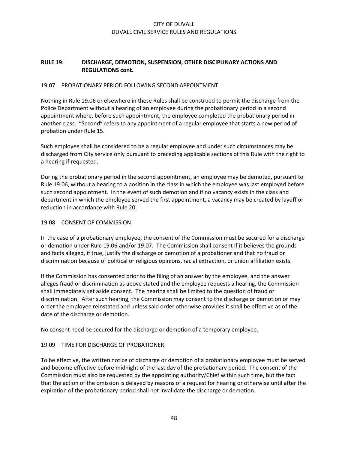## **RULE 19: DISCHARGE, DEMOTION, SUSPENSION, OTHER DISCIPLINARY ACTIONS AND REGULATIONS cont.**

#### 19.07 PROBATIONARY PERIOD FOLLOWING SECOND APPOINTMENT

Nothing in Rule 19.06 or elsewhere in these Rules shall be construed to permit the discharge from the Police Department without a hearing of an employee during the probationary period in a second appointment where, before such appointment, the employee completed the probationary period in another class. "Second" refers to any appointment of a regular employee that starts a new period of probation under Rule 15.

Such employee shall be considered to be a regular employee and under such circumstances may be discharged from City service only pursuant to preceding applicable sections of this Rule with the right to a hearing if requested.

During the probationary period in the second appointment, an employee may be demoted, pursuant to Rule 19.06, without a hearing to a position in the class in which the employee was last employed before such second appointment. In the event of such demotion and if no vacancy exists in the class and department in which the employee served the first appointment, a vacancy may be created by layoff or reduction in accordance with Rule 20.

## 19.08 CONSENT OF COMMISSION

In the case of a probationary employee, the consent of the Commission must be secured for a discharge or demotion under Rule 19.06 and/or 19.07. The Commission shall consent if it believes the grounds and facts alleged, if true, justify the discharge or demotion of a probationer and that no fraud or discrimination because of political or religious opinions, racial extraction, or union affiliation exists.

If the Commission has consented prior to the filing of an answer by the employee, and the answer alleges fraud or discrimination as above stated and the employee requests a hearing, the Commission shall immediately set aside consent. The hearing shall be limited to the question of fraud or discrimination. After such hearing, the Commission may consent to the discharge or demotion or may order the employee reinstated and unless said order otherwise provides it shall be effective as of the date of the discharge or demotion.

No consent need be secured for the discharge or demotion of a temporary employee.

## 19.09 TIME FOR DISCHARGE OF PROBATIONER

To be effective, the written notice of discharge or demotion of a probationary employee must be served and become effective before midnight of the last day of the probationary period. The consent of the Commission must also be requested by the appointing authority/Chief within such time, but the fact that the action of the omission is delayed by reasons of a request for hearing or otherwise until after the expiration of the probationary period shall not invalidate the discharge or demotion.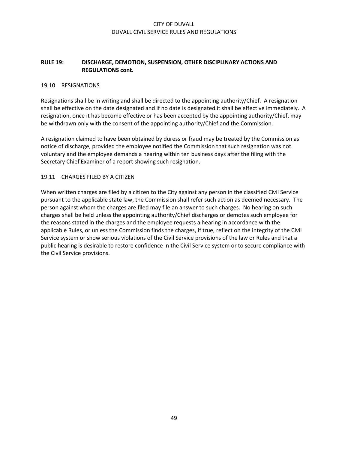## **RULE 19: DISCHARGE, DEMOTION, SUSPENSION, OTHER DISCIPLINARY ACTIONS AND REGULATIONS cont.**

#### 19.10 RESIGNATIONS

Resignations shall be in writing and shall be directed to the appointing authority/Chief. A resignation shall be effective on the date designated and if no date is designated it shall be effective immediately. A resignation, once it has become effective or has been accepted by the appointing authority/Chief, may be withdrawn only with the consent of the appointing authority/Chief and the Commission.

A resignation claimed to have been obtained by duress or fraud may be treated by the Commission as notice of discharge, provided the employee notified the Commission that such resignation was not voluntary and the employee demands a hearing within ten business days after the filing with the Secretary Chief Examiner of a report showing such resignation.

#### 19.11 CHARGES FILED BY A CITIZEN

When written charges are filed by a citizen to the City against any person in the classified Civil Service pursuant to the applicable state law, the Commission shall refer such action as deemed necessary. The person against whom the charges are filed may file an answer to such charges. No hearing on such charges shall be held unless the appointing authority/Chief discharges or demotes such employee for the reasons stated in the charges and the employee requests a hearing in accordance with the applicable Rules, or unless the Commission finds the charges, if true, reflect on the integrity of the Civil Service system or show serious violations of the Civil Service provisions of the law or Rules and that a public hearing is desirable to restore confidence in the Civil Service system or to secure compliance with the Civil Service provisions.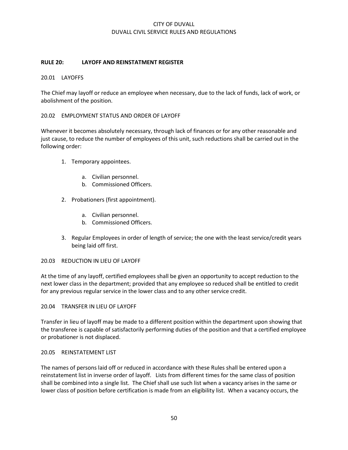## **RULE 20: LAYOFF AND REINSTATMENT REGISTER**

#### 20.01 LAYOFFS

The Chief may layoff or reduce an employee when necessary, due to the lack of funds, lack of work, or abolishment of the position.

#### 20.02 EMPLOYMENT STATUS AND ORDER OF LAYOFF

Whenever it becomes absolutely necessary, through lack of finances or for any other reasonable and just cause, to reduce the number of employees of this unit, such reductions shall be carried out in the following order:

- 1. Temporary appointees.
	- a. Civilian personnel.
	- b. Commissioned Officers.
- 2. Probationers (first appointment).
	- a. Civilian personnel.
	- b. Commissioned Officers.
- 3. Regular Employees in order of length of service; the one with the least service/credit years being laid off first.

#### 20.03 REDUCTION IN LIEU OF LAYOFF

At the time of any layoff, certified employees shall be given an opportunity to accept reduction to the next lower class in the department; provided that any employee so reduced shall be entitled to credit for any previous regular service in the lower class and to any other service credit.

20.04 TRANSFER IN LIEU OF LAYOFF

Transfer in lieu of layoff may be made to a different position within the department upon showing that the transferee is capable of satisfactorily performing duties of the position and that a certified employee or probationer is not displaced.

#### 20.05 REINSTATEMENT LIST

The names of persons laid off or reduced in accordance with these Rules shall be entered upon a reinstatement list in inverse order of layoff. Lists from different times for the same class of position shall be combined into a single list. The Chief shall use such list when a vacancy arises in the same or lower class of position before certification is made from an eligibility list. When a vacancy occurs, the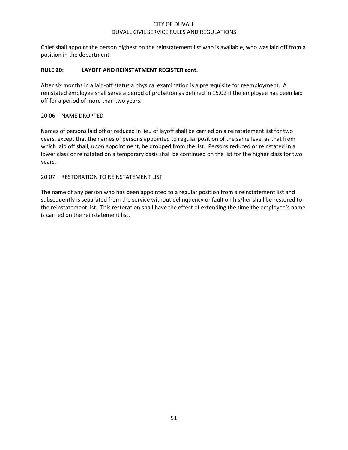Chief shall appoint the person highest on the reinstatement list who is available, who was laid off from a position in the department.

## **RULE 20: LAYOFF AND REINSTATMENT REGISTER cont.**

After six months in a laid-off status a physical examination is a prerequisite for reemployment. A reinstated employee shall serve a period of probation as defined in 15.02 if the employee has been laid off for a period of more than two years.

## 20.06 NAME DROPPED

Names of persons laid off or reduced in lieu of layoff shall be carried on a reinstatement list for two years, except that the names of persons appointed to regular position of the same level as that from which laid off shall, upon appointment, be dropped from the list. Persons reduced or reinstated in a lower class or reinstated on a temporary basis shall be continued on the list for the higher class for two years.

## 20.07 RESTORATION TO REINSTATEMENT LIST

The name of any person who has been appointed to a regular position from a reinstatement list and subsequently is separated from the service without delinquency or fault on his/her shall be restored to the reinstatement list. This restoration shall have the effect of extending the time the employee's name is carried on the reinstatement list.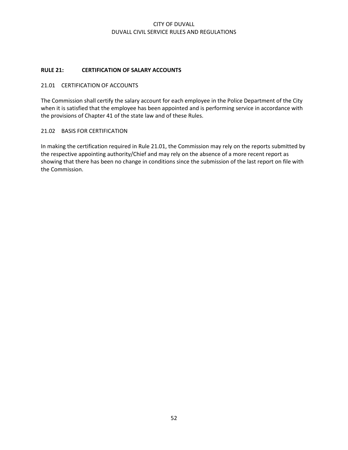## **RULE 21: CERTIFICATION OF SALARY ACCOUNTS**

#### 21.01 CERTIFICATION OF ACCOUNTS

The Commission shall certify the salary account for each employee in the Police Department of the City when it is satisfied that the employee has been appointed and is performing service in accordance with the provisions of Chapter 41 of the state law and of these Rules.

## 21.02 BASIS FOR CERTIFICATION

In making the certification required in Rule 21.01, the Commission may rely on the reports submitted by the respective appointing authority/Chief and may rely on the absence of a more recent report as showing that there has been no change in conditions since the submission of the last report on file with the Commission.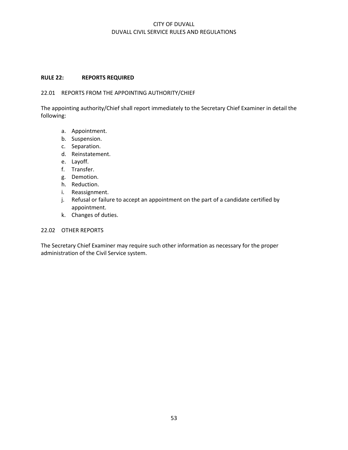#### **RULE 22: REPORTS REQUIRED**

#### 22.01 REPORTS FROM THE APPOINTING AUTHORITY/CHIEF

The appointing authority/Chief shall report immediately to the Secretary Chief Examiner in detail the following:

- a. Appointment.
- b. Suspension.
- c. Separation.
- d. Reinstatement.
- e. Layoff.
- f. Transfer.
- g. Demotion.
- h. Reduction.
- i. Reassignment.
- j. Refusal or failure to accept an appointment on the part of a candidate certified by appointment.
- k. Changes of duties.

#### 22.02 OTHER REPORTS

The Secretary Chief Examiner may require such other information as necessary for the proper administration of the Civil Service system.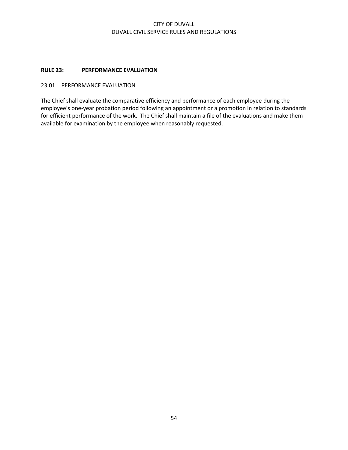## **RULE 23: PERFORMANCE EVALUATION**

## 23.01 PERFORMANCE EVALUATION

The Chief shall evaluate the comparative efficiency and performance of each employee during the employee's one-year probation period following an appointment or a promotion in relation to standards for efficient performance of the work. The Chief shall maintain a file of the evaluations and make them available for examination by the employee when reasonably requested.